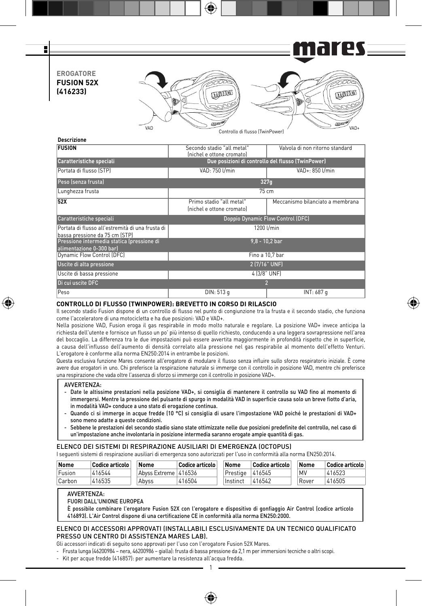

| <b>FUSION</b>                                                                      | Secondo stadio "all metal"<br>(nichel e ottone cromato) | Valvola di non ritorno standard  |  |  |  |  |
|------------------------------------------------------------------------------------|---------------------------------------------------------|----------------------------------|--|--|--|--|
| Caratteristiche speciali                                                           | Due posizioni di controllo del flusso (TwinPower)       |                                  |  |  |  |  |
| Portata di flusso (STP)                                                            | VAD: 750 U/min<br>VAD+: 850 l/min                       |                                  |  |  |  |  |
| Peso (senza frusta)                                                                | 327q                                                    |                                  |  |  |  |  |
| Lunghezza frusta                                                                   | $75 \text{ cm}$                                         |                                  |  |  |  |  |
| 52X                                                                                | Primo stadio "all metal"<br>(nichel e ottone cromato)   | Meccanismo bilanciato a membrana |  |  |  |  |
| Caratteristiche speciali                                                           | Doppio Dynamic Flow Control (DFC)                       |                                  |  |  |  |  |
| Portata di flusso all'estremità di una frusta di<br>bassa pressione da 75 cm (STP) | 1200 l/min                                              |                                  |  |  |  |  |
| Pressione intermedia statica (pressione di<br>alimentazione 0-300 barl             |                                                         | $9.8 - 10.2$ bar                 |  |  |  |  |
| Dynamic Flow Control (DFC)                                                         |                                                         | Fino a 10,7 bar                  |  |  |  |  |
| Uscite di alta pressione                                                           |                                                         | 2 (7/16" UNF)                    |  |  |  |  |
| Uscite di bassa pressione                                                          | 4 (3/8" UNF)                                            |                                  |  |  |  |  |
| Di cui uscite DFC                                                                  |                                                         | 2                                |  |  |  |  |
| Peso                                                                               | DIN: 513 g                                              | INT: 687 g                       |  |  |  |  |

### **CONTROLLO DI FLUSSO (TWINPOWER): BREVETTO IN CORSO DI RILASCIO**

Il secondo stadio Fusion dispone di un controllo di flusso nel punto di congiunzione tra la frusta e il secondo stadio, che funziona come l'acceleratore di una motocicletta e ha due posizioni: VAD e VAD+.

Nella posizione VAD, Fusion eroga il gas respirabile in modo molto naturale e regolare. La posizione VAD+ invece anticipa la richiesta dell'utente e fornisce un flusso un po' più intenso di quello richiesto, conducendo a una leggera sovrapressione nell'area del boccaglio. La differenza tra le due impostazioni può essere avvertita maggiormente in profondità rispetto che in superficie, a causa dell'influsso dell'aumento di densità correlato alla pressione nel gas respirabile al momento dell'effetto Venturi. L'erogatore è conforme alla norma EN250:2014 in entrambe le posizioni.

Questa esclusiva funzione Mares consente all'erogatore di modulare il flusso senza influire sullo sforzo respiratorio iniziale. È come avere due erogatori in uno. Chi preferisce la respirazione naturale si immerge con il controllo in posizione VAD, mentre chi preferisce una respirazione che vada oltre l'assenza di sforzo si immerge con il controllo in posizione VAD+.

#### AVVERTENZA:

⊕

- Date le altissime prestazioni nella posizione VAD+, si consiglia di mantenere il controllo su VAD fino al momento di immergersi. Mentre la pressione del pulsante di spurgo in modalità VAD in superficie causa solo un breve fiotto d'aria, in modalità VAD+ conduce a uno stato di erogazione continua.
- Quando ci si immerge in acque fredde (10 °C) si consiglia di usare l'impostazione VAD poiché le prestazioni di VAD+ sono meno adatte a queste condizioni.
- Sebbene le prestazioni del secondo stadio siano state ottimizzate nelle due posizioni predefinite del controllo, nel caso di un'impostazione anche involontaria in posizione intermedia saranno erogate ampie quantità di gas.

### ELENCO DEI SISTEMI DI RESPIRAZIONE AUSILIARI DI EMERGENZA (OCTOPUS)

I seguenti sistemi di respirazione ausiliari di emergenza sono autorizzati per l'uso in conformità alla norma EN250:2014.

| Nome   | Codice articolo | Nome                 | Codice articolo | Nome            | Codice articolo | Nome  | Codice articolo |
|--------|-----------------|----------------------|-----------------|-----------------|-----------------|-------|-----------------|
| Fusion | 416544          | Abyss Extreme 416536 |                 | Prestige 416545 |                 | MV    | 416523          |
| Carbon | 416535          | Abvss                | 416504          | Instinct        | 416542          | Rover | 416505          |

### AVVERTENZA:

FUORI DALL'UNIONE EUROPEA

È possibile combinare l'erogatore Fusion 52X con l'erogatore e dispositivo di gonfiaggio Air Control (codice articolo 416893). L'Air Control dispone di una certificazione CE in conformità alla norma EN250:2000.

# ELENCO DI ACCESSORI APPROVATI (INSTALLABILI ESCLUSIVAMENTE DA UN TECNICO QUALIFICATO PRESSO UN CENTRO DI ASSISTENZA MARES LAB).

1

⊕

Gli accessori indicati di seguito sono approvati per l'uso con l'erogatore Fusion 52X Mares.

- Frusta lunga (46200984 nera, 46200986 gialla): frusta di bassa pressione da 2,1 m per immersioni tecniche o altri scopi.
- Kit per acque fredde (416857): per aumentare la resistenza all'acqua fredda.

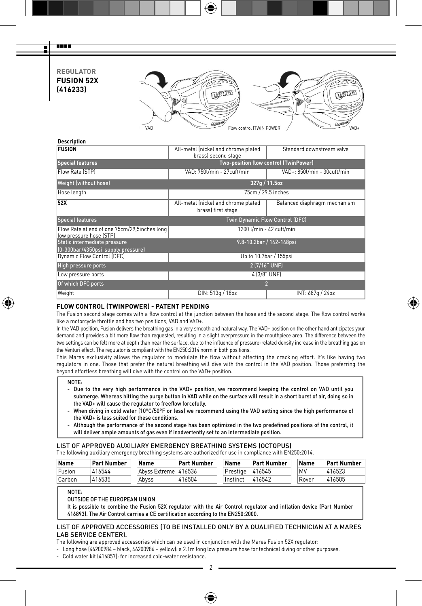# **REGULATOR FUSION 52X (416233)**

man a Ŧ



# **Description**

| Standard downstream valve<br>brass) second stage                         |                                     |  |  |  |  |
|--------------------------------------------------------------------------|-------------------------------------|--|--|--|--|
| Two-position flow control (TwinPower)                                    |                                     |  |  |  |  |
| VAD: 750l/min - 27cuft/min<br>VAD+: 850l/min - 30cuft/min                |                                     |  |  |  |  |
| 327q / 11.5oz                                                            |                                     |  |  |  |  |
| 75cm / 29.5 inches                                                       |                                     |  |  |  |  |
| All-metal (nickel and chrome plated<br>brass) first stage                | Balanced diaphragm mechanism        |  |  |  |  |
| Twin Dynamic Flow Control (DFC)                                          |                                     |  |  |  |  |
| Flow Rate at end of one 75cm/29,5inches long<br>1200 l/min - 42 cuft/min |                                     |  |  |  |  |
|                                                                          | 9.8-10.2bar / 142-148psi            |  |  |  |  |
|                                                                          | Up to 10.7bar / 155psi              |  |  |  |  |
| 2 (7/16" UNF)                                                            |                                     |  |  |  |  |
| 4 (3/8" UNF)                                                             |                                     |  |  |  |  |
| $\overline{2}$                                                           |                                     |  |  |  |  |
| DIN: 513g / 18oz<br>INT: 687g / 24oz                                     |                                     |  |  |  |  |
|                                                                          | All-metal (nickel and chrome plated |  |  |  |  |

# **FLOW CONTROL (TWINPOWER) - PATENT PENDING**

The Fusion second stage comes with a flow control at the junction between the hose and the second stage. The flow control works like a motorcycle throttle and has two positions, VAD and VAD+.

⊕

In the VAD position, Fusion delivers the breathing gas in a very smooth and natural way. The VAD+ position on the other hand anticipates your demand and provides a bit more flow than requested, resulting in a slight overpressure in the mouthpiece area. The difference between the two settings can be felt more at depth than near the surface, due to the influence of pressure-related density increase in the breathing gas on the Venturi effect. The regulator is compliant with the EN250:2014 norm in both positions.

This Mares exclusivity allows the regulator to modulate the flow without affecting the cracking effort. It's like having two regulators in one. Those that prefer the natural breathing will dive with the control in the VAD position. Those preferring the beyond effortless breathing will dive with the control on the VAD+ position.

### NOTE:

⊕

- Due to the very high performance in the VAD+ position, we recommend keeping the control on VAD until you submerge. Whereas hitting the purge button in VAD while on the surface will result in a short burst of air, doing so in the VAD+ will cause the regulator to freeflow forcefully.

- When diving in cold water (10°C/50°F or less) we recommend using the VAD setting since the high performance of the VAD+ is less suited for these conditions.

- Although the performance of the second stage has been optimized in the two predefined positions of the control, it will deliver ample amounts of gas even if inadvertently set to an intermediate position.

# LIST OF APPROVED AUXILIARY EMERGENCY BREATHING SYSTEMS (OCTOPUS)

The following auxiliary emergency breathing systems are authorized for use in compliance with EN250:2014.

| Name   | Part Number | Name                 | Part Number | Name     | <b>Part Number</b> | Name  | Part Number |
|--------|-------------|----------------------|-------------|----------|--------------------|-------|-------------|
| Fusion | 416544      | Abyss Extreme 416536 |             | Prestige | 416545             | MV    | 416523      |
| Carbon | 416535      | Abvss                | 416504      | Instinct | 416542             | Rover | 416505      |

NOTE:

OUTSIDE OF THE EUROPEAN UNION

It is possible to combine the Fusion 52X regulator with the Air Control regulator and inflation device (Part Number 416893). The Air Control carries a CE certification according to the EN250:2000.

### LIST OF APPROVED ACCESSORIES (TO BE INSTALLED ONLY BY A QUALIFIED TECHNICIAN AT A MARES LAB SERVICE CENTER).

The following are approved accessories which can be used in conjunction with the Mares Fusion 52X regulator:

- Long hose (46200984 – black, 46200986 – yellow): a 2.1m long low pressure hose for technical diving or other purposes.

- Cold water kit (416857): for increased cold-water resistance.

2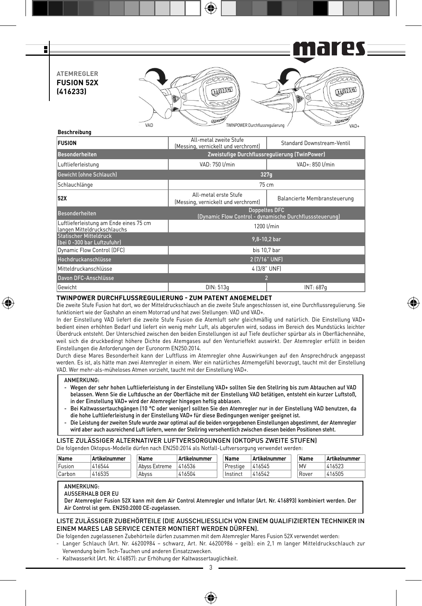es == F 1 G I **ATEMREGLER FUSION 52X LUTTING CHANGE (416233)** VAD WAD TWINPOWER Durchflussregulierung / VAD-**Beschreibung**

| <b>FUSION</b>                                                         | All-metal zweite Stufe<br>Standard Downstream-Ventil<br>(Messing, vernickelt und verchromt) |                              |  |  |  |
|-----------------------------------------------------------------------|---------------------------------------------------------------------------------------------|------------------------------|--|--|--|
| <b>Besonderheiten</b>                                                 | Zweistufige Durchflussregulierung (TwinPower)                                               |                              |  |  |  |
| Luftlieferleistung                                                    | VAD: 750 Umin<br>VAD+: 850 l/min                                                            |                              |  |  |  |
| <b>Gewicht (ohne Schlauch)</b>                                        | 327q                                                                                        |                              |  |  |  |
| Schlauchlänge                                                         | 75 cm                                                                                       |                              |  |  |  |
| 52X                                                                   | All-metal erste Stufe<br>(Messing, vernickelt und verchromt)                                | Balancierte Membransteuerung |  |  |  |
| <b>Besonderheiten</b>                                                 | <b>Doppeltes DFC</b><br>(Dynamic Flow Control - dynamische Durchflusssteuerung)             |                              |  |  |  |
| Luftlieferleistung am Ende eines 75 cm<br>langen Mitteldruckschlauchs | 1200 l/min                                                                                  |                              |  |  |  |
| <b>Statischer Mitteldruck</b><br>(bei 0 -300 bar Luftzufuhr)          | 9,8-10,2 bar                                                                                |                              |  |  |  |
| Dynamic Flow Control (DFC)                                            | bis 10.7 bar                                                                                |                              |  |  |  |
| Hochdruckanschlüsse                                                   | 2 (7/16" UNF)                                                                               |                              |  |  |  |
| Mitteldruckanschlüsse                                                 | 4 (3/8" UNF)                                                                                |                              |  |  |  |
| Davon DFC-Anschlüsse                                                  |                                                                                             |                              |  |  |  |
| Gewicht                                                               | DIN: 513a<br>INT: 687q                                                                      |                              |  |  |  |

# **TWINPOWER DURCHFLUSSREGULIERUNG - ZUM PATENT ANGEMELDET**

Die zweite Stufe Fusion hat dort, wo der Mitteldruckschlauch an die zweite Stufe angeschlossen ist, eine Durchflussregulierung. Sie funktioniert wie der Gashahn an einem Motorrad und hat zwei Stellungen: VAD und VAD+.

⊕

In der Einstellung VAD liefert die zweite Stufe Fusion die Atemluft sehr gleichmäßig und natürlich. Die Einstellung VAD+ bedient einen erhöhten Bedarf und liefert ein wenig mehr Luft, als abgerufen wird, sodass im Bereich des Mundstücks leichter Überdruck entsteht. Der Unterschied zwischen den beiden Einstellungen ist auf Tiefe deutlicher spürbar als in Oberflächennähe, weil sich die druckbedingt höhere Dichte des Atemgases auf den Venturieffekt auswirkt. Der Atemregler erfüllt in beiden Einstellungen die Anforderungen der Euronorm EN250:2014.

Durch diese Mares Besonderheit kann der Luftfluss im Atemregler ohne Auswirkungen auf den Ansprechdruck angepasst werden. Es ist, als hätte man zwei Atemregler in einem. Wer ein natürliches Atmemgefühl bevorzugt, taucht mit der Einstellung VAD. Wer mehr-als-müheloses Atmen vorzieht, taucht mit der Einstellung VAD+.

### ANMERKUNG:

⊕

- Wegen der sehr hohen Luftlieferleistung in der Einstellung VAD+ sollten Sie den Stellring bis zum Abtauchen auf VAD belassen. Wenn Sie die Luftdusche an der Oberfläche mit der Einstellung VAD betätigen, entsteht ein kurzer Luftstoß, in der Einstellung VAD+ wird der Atemregler hingegen heftig abblasen.
- Bei Kaltwassertauchgängen (10 °C oder weniger) sollten Sie den Atemregler nur in der Einstellung VAD benutzen, da die hohe Luftlieferleistung in der Einstellung VAD+ für diese Bedingungen weniger geeignet ist.
- Die Leistung der zweiten Stufe wurde zwar optimal auf die beiden vorgegebenen Einstellungen abgestimmt, der Atemregler wird aber auch ausreichend Luft liefern, wenn der Stellring versehentlich zwischen diesen beiden Positionen steht.

### LISTE ZULÄSSIGER ALTERNATIVER LUFTVERSORGUNGEN (OKTOPUS ZWEITE STUFEN)

Die folgenden Oktopus-Modelle dürfen nach EN250:2014 als Notfall-Luftversorgung verwendet werden:

| Name   | Artikelnummer | Name          | Artikelnummer | Name     | Artikelnummer | Name  | Artikelnummer |
|--------|---------------|---------------|---------------|----------|---------------|-------|---------------|
| Fusion | 416544        | Abyss Extreme | 416536        | Prestige | 416545        | MV    | 416523        |
| Carbon | 416535        | Abvss         | 416504        | Instinct | 416542        | Rover | 416505        |

### ANMERKUNG:

AUSSERHALB DER EU

Der Atemregler Fusion 52X kann mit dem Air Control Atemregler und Inflator (Art. Nr. 416893) kombiniert werden. Der Air Control ist gem. EN250:2000 CE-zugelassen.

### LISTE ZULÄSSIGER ZUBEHÖRTEILE (DIE AUSSCHLIESSLICH VON EINEM QUALIFIZIERTEN TECHNIKER IN EINEM MARES LAB SERVICE CENTER MONTIERT WERDEN DÜRFEN).

Die folgenden zugelassenen Zubehörteile dürfen zusammen mit dem Atemregler Mares Fusion 52X verwendet werden:

- Langer Schlauch (Art. Nr. 46200984 schwarz, Art. Nr. 46200986 gelb): ein 2,1 m langer Mitteldruckschlauch zur Verwendung beim Tech-Tauchen und anderen Einsatzzwecken.
- Kaltwasserkit (Art. Nr. 416857): zur Erhöhung der Kaltwassertauglichkeit.

3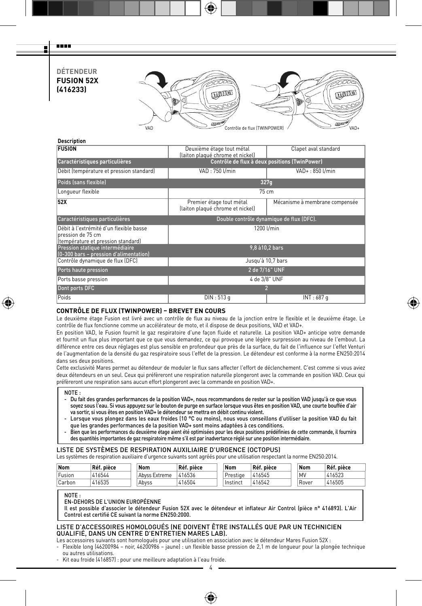# **DÉTENDEUR FUSION 52X (416233)**

man a Ŧ



⊕

### **Description**

| <b>FUSION</b>                                                                                      | Deuxième étage tout métal<br>(laiton plaqué chrome et nickel) | Clapet aval standard           |  |  |  |  |
|----------------------------------------------------------------------------------------------------|---------------------------------------------------------------|--------------------------------|--|--|--|--|
| Caractéristiques particulières                                                                     | Contrôle de flux à deux positions (TwinPower)                 |                                |  |  |  |  |
| Débit (température et pression standard)                                                           | VAD: 750 Umin<br>VAD+: 850 U/min                              |                                |  |  |  |  |
| Poids (sans flexible)                                                                              | 327q                                                          |                                |  |  |  |  |
| Longueur flexible                                                                                  | 75 cm                                                         |                                |  |  |  |  |
| 52X                                                                                                | Premier étage tout métal<br>(laiton plaqué chrome et nickel)  | Mécanisme à membrane compensée |  |  |  |  |
| Caractéristiques particulières                                                                     | Double contrôle dynamique de flux (DFC).                      |                                |  |  |  |  |
| Débit à l'extrémité d'un flexible basse<br>pression de 75 cm<br>(température et pression standard) | 1200 l/min                                                    |                                |  |  |  |  |
| Pression statique intermédiaire<br>(0-300 bars - pression d'alimentation)                          | 9,8 à 10,2 bars                                               |                                |  |  |  |  |
| Contrôle dynamique de flux (DFC)                                                                   | Jusqu'à 10,7 bars                                             |                                |  |  |  |  |
| Ports haute pression                                                                               | 2 de 7/16" UNF                                                |                                |  |  |  |  |
| Ports basse pression                                                                               | 4 de 3/8" UNF                                                 |                                |  |  |  |  |
| Dont ports DFC                                                                                     | 2                                                             |                                |  |  |  |  |
| Poids                                                                                              | DIN: 513 g                                                    | INT: 687 g                     |  |  |  |  |

# **CONTRÔLE DE FLUX (TWINPOWER) – BREVET EN COURS**

Le deuxième étage Fusion est livré avec un contrôle de flux au niveau de la jonction entre le flexible et le deuxième étage. Le contrôle de flux fonctionne comme un accélérateur de moto, et il dispose de deux positions, VAD et VAD+.

En position VAD, le Fusion fournit le gaz respiratoire d'une façon fluide et naturelle. La position VAD+ anticipe votre demande et fournit un flux plus important que ce que vous demandez, ce qui provoque une légère surpression au niveau de l'embout. La différence entre ces deux réglages est plus sensible en profondeur que près de la surface, du fait de l'influence sur l'effet Venturi de l'augmentation de la densité du gaz respiratoire sous l'effet de la pression. Le détendeur est conforme à la norme EN250:2014 dans ses deux positions.

Cette exclusivité Mares permet au détendeur de moduler le flux sans affecter l'effort de déclenchement. C'est comme si vous aviez deux détendeurs en un seul. Ceux qui préfèreront une respiration naturelle plongeront avec la commande en position VAD. Ceux qui préfèreront une respiration sans aucun effort plongeront avec la commande en position VAD+.

#### NOTE :

⊕

- Du fait des grandes performances de la position VAD+, nous recommandons de rester sur la position VAD jusqu'à ce que vous soyez sous l'eau. Si vous appuyez sur le bouton de purge en surface lorsque vous êtes en position VAD, une courte bouffée d'air va sortir, si vous êtes en position VAD+ le détendeur se mettra en débit continu violent.
- Lorsque vous plongez dans les eaux froides (10 °C ou moins), nous vous conseillons d'utiliser la position VAD du fait que les grandes performances de la position VAD+ sont moins adaptées à ces conditions.
- Bien que les performances du deuxième étage aient été optimisées pour les deux positions prédéfinies de cette commande, il fournira des quantités importantes de gaz respiratoire même s'il est par inadvertance réglé sur une position intermédiaire.

# LISTE DE SYSTÈMES DE RESPIRATION AUXILIAIRE D'URGENCE (OCTOPUS)

Les systèmes de respiration auxiliaire d'urgence suivants sont agréés pour une utilisation respectant la norme EN250:2014.

| Nom    | Réf. pièce | <b>Nom</b>    | Réf. pièce | Nom        | Réf. pièce | Nom   | Réf. pièce |
|--------|------------|---------------|------------|------------|------------|-------|------------|
| Fusion | 416544     | Abyss Extreme | 416536     | Prestige   | 416545     | MV    | 416523     |
| Carbon | 416535     | Abvss         | 416504     | i Instinct | 416542     | Rover | 416505     |

NOTE :

### EN-DEHORS DE L'UNION EUROPÉENNE

Il est possible d'associer le détendeur Fusion 52X avec le détendeur et inflateur Air Control (pièce n° 416893). L'Air Control est certifié CE suivant la norme EN250:2000.

### LISTE D'ACCESSOIRES HOMOLOGUÉS (NE DOIVENT ÊTRE INSTALLÉS QUE PAR UN TECHNICIEN QUALIFIÉ, DANS UN CENTRE D'ENTRETIEN MARES LAB).

Les accessoires suivants sont homologués pour une utilisation en association avec le détendeur Mares Fusion 52X :

4 - Flexible long (46200984 – noir, 46200986 – jaune) : un flexible basse pression de 2,1 m de longueur pour la plongée technique ou autres utilisations.

♠

- Kit eau froide (416857) : pour une meilleure adaptation à l'eau froide.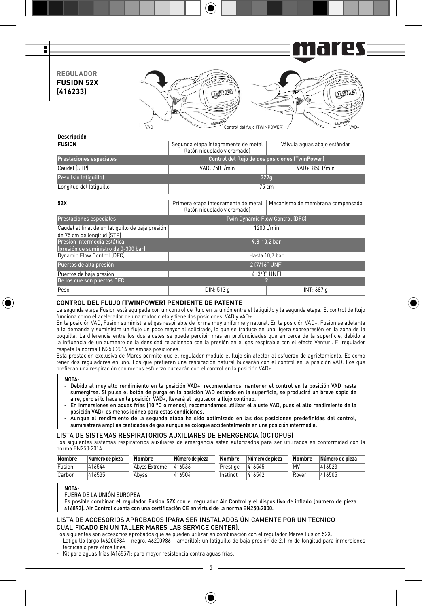es i Gl П **REGULADOR FUSION 52X (416233) Change COLLES** 20  $\alpha$  $7000$ VAD Control del flujo (TWINPOWER) VAD-

# **Descripción**

F

| <b>FUSION</b>                  | Segunda etapa íntegramente de metal<br>(latón niquelado y cromado) | Válvula aquas abajo estándar |  |  |  |  |
|--------------------------------|--------------------------------------------------------------------|------------------------------|--|--|--|--|
| <b>Prestaciones especiales</b> | Control del flujo de dos posiciones (TwinPower)                    |                              |  |  |  |  |
| Caudal (STP)                   | VAD: 750 I/min                                                     | VAD+: 850 l/min              |  |  |  |  |
| Peso (sin latiquillo)          | 327q                                                               |                              |  |  |  |  |
| Longitud del latiquillo        | $75 \text{ cm}$                                                    |                              |  |  |  |  |

| 52X                                                                            | Primera etapa íntegramente de metal<br>(latón niquelado y cromado) | Mecanismo de membrana compensada |  |  |  |  |
|--------------------------------------------------------------------------------|--------------------------------------------------------------------|----------------------------------|--|--|--|--|
| <b>Prestaciones especiales</b>                                                 | Twin Dynamic Flow Control (DFC)                                    |                                  |  |  |  |  |
| Caudal al final de un latiquillo de baja presión<br>de 75 cm de longitud (STP) | 1200 l/min                                                         |                                  |  |  |  |  |
| Presión intermedia estática<br>(presión de suministro de 0-300 bar)            | $9.8 - 10.2$ bar                                                   |                                  |  |  |  |  |
| Dynamic Flow Control (DFC)                                                     |                                                                    | Hasta 10.7 bar                   |  |  |  |  |
| Puertos de alta presión                                                        | 2 (7/16" UNF)                                                      |                                  |  |  |  |  |
| Puertos de baja presión                                                        | 4 (3/8" UNF)                                                       |                                  |  |  |  |  |
| De los que son puertos DFC                                                     |                                                                    |                                  |  |  |  |  |
| Peso                                                                           | DIN: 513 g                                                         | INT: 687 g                       |  |  |  |  |

### **CONTROL DEL FLUJO (TWINPOWER) PENDIENTE DE PATENTE**

La segunda etapa Fusion está equipada con un control de flujo en la unión entre el latiguillo y la segunda etapa. El control de flujo funciona como el acelerador de una motocicleta y tiene dos posiciones, VAD y VAD+.

⊕

En la posición VAD, Fusion suministra el gas respirable de forma muy uniforme y natural. En la posición VAD+, Fusion se adelanta a la demanda y suministra un flujo un poco mayor al solicitado, lo que se traduce en una ligera sobrepresión en la zona de la boquilla. La diferencia entre los dos ajustes se puede percibir más en profundidades que en cerca de la superficie, debido a la influencia de un aumento de la densidad relacionada con la presión en el gas respirable con el efecto Venturi. El regulador respeta la norma EN250:2014 en ambas posiciones.

Esta prestación exclusiva de Mares permite que el regulador module el flujo sin afectar al esfuerzo de agrietamiento. Es como tener dos reguladores en uno. Los que prefieran una respiración natural bucearán con el control en la posición VAD. Los que prefieran una respiración con menos esfuerzo bucearán con el control en la posición VAD+.

#### NOTA:

↔

- Debido al muy alto rendimiento en la posición VAD+, recomendamos mantener el control en la posición VAD hasta sumergirse. Si pulsa el botón de purga en la posición VAD estando en la superficie, se producirá un breve soplo de<br>aire, pero si lo hace en la posición VAD+, llevará el regulador a flujo continuo.
- En inmersiones en aguas frías (10 °C o menos), recomendamos utilizar el ajuste VAD, pues el alto rendimiento de la posición VAD+ es menos idóneo para estas condiciones.
- Aunque el rendimiento de la segunda etapa ha sido optimizado en las dos posiciones predefinidas del control, suministrará amplias cantidades de gas aunque se coloque accidentalmente en una posición intermedia.

### LISTA DE SISTEMAS RESPIRATORIOS AUXILIARES DE EMERGENCIA (OCTOPUS)

Los siguientes sistemas respiratorios auxiliares de emergencia están autorizados para ser utilizados en conformidad con la norma EN250:2014.

| Nombre | Número de pieza | Nombre        | Número de pieza | Nombre   | Número de pieza | Nombre    | Número de pieza |
|--------|-----------------|---------------|-----------------|----------|-----------------|-----------|-----------------|
| Fusion | 416544          | Abyss Extreme | 416536          | Prestige | 416545          | <b>MV</b> | 416523          |
| Carbon | 416535          | Abvss         | 416504          | Instinct | 416542          | Rover     | 416505          |

#### NOTA:

FUERA DE LA UNIÓN EUROPEA

Es posible combinar el regulador Fusion 52X con el regulador Air Control y el dispositivo de inflado (número de pieza 416893). Air Control cuenta con una certificación CE en virtud de la norma EN250:2000.

### LISTA DE ACCESORIOS APROBADOS (PARA SER INSTALADOS ÚNICAMENTE POR UN TÉCNICO CUALIFICADO EN UN TALLER MARES LAB SERVICE CENTER).

Los siguientes son accesorios aprobados que se pueden utilizar en combinación con el regulador Mares Fusion 52X:

- Latiguillo largo (46200984 – negro, 46200986 – amarillo): un latiguillo de baja presión de 2,1 m de longitud para inmersiones técnicas o para otros fines.

- Kit para aguas frías (416857): para mayor resistencia contra aguas frías.

5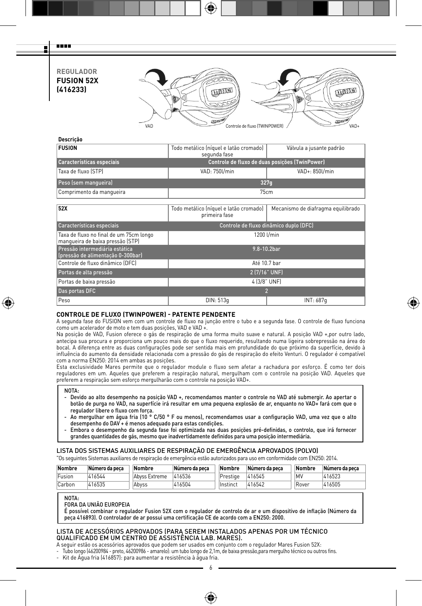# **REGULADOR FUSION 52X (416233)**

man a Ŧ



# **Descrição**

| <b>FUSION</b>                                                               | Todo metálico (níquel e latão cromado)<br>Válvula a jusante padrão<br>segunda fase |                                    |  |  |  |  |
|-----------------------------------------------------------------------------|------------------------------------------------------------------------------------|------------------------------------|--|--|--|--|
| Características especiais                                                   | Controle de fluxo de duas posicões (TwinPower)                                     |                                    |  |  |  |  |
| Taxa de fluxo (STP)                                                         | VAD: 750l/min<br>VAD+: 850l/min                                                    |                                    |  |  |  |  |
| Peso (sem manqueira)                                                        | 327q                                                                               |                                    |  |  |  |  |
| Comprimento da manqueira                                                    | 75cm                                                                               |                                    |  |  |  |  |
|                                                                             |                                                                                    |                                    |  |  |  |  |
| 52X                                                                         | Todo metálico (níquel e latão cromado)<br>primeira fase                            | Mecanismo de diafragma equilibrado |  |  |  |  |
| Características especiais                                                   | Controle de fluxo dinâmico duplo (DFC)                                             |                                    |  |  |  |  |
| Taxa de fluxo no final de um 75cm longo<br>manqueira de baixa pressão (STP) | 1200 l/min                                                                         |                                    |  |  |  |  |
| Pressão intermediária estática<br>(pressão de alimentação 0-300bar)         | 9.8-10.2bar                                                                        |                                    |  |  |  |  |
| Controle de fluxo dinâmico (DFC)                                            | Até 10.7 bar                                                                       |                                    |  |  |  |  |
| Portas de alta pressão                                                      | 2 (7/16" UNF)                                                                      |                                    |  |  |  |  |
| Portas de baixa pressão                                                     | 4 (3/8" UNF)                                                                       |                                    |  |  |  |  |
| Das portas DFC                                                              | 2                                                                                  |                                    |  |  |  |  |
| Peso                                                                        | DIN: 513q                                                                          | INT: 687q                          |  |  |  |  |
|                                                                             |                                                                                    |                                    |  |  |  |  |

### **CONTROLE DE FLUXO (TWINPOWER) - PATENTE PENDENTE**

A segunda fase do FUSION vem com um controle de fluxo na junção entre o tubo e a segunda fase. O controle de fluxo funciona como um acelerador de moto e tem duas posições, VAD e VAD +.

⊕

Na posição de VAD, Fusion oferece o gás de respiração de uma forma muito suave e natural. A posição VAD +,por outro lado, antecipa sua procura e proporciona um pouco mais do que o fluxo requerido, resultando numa ligeira sobrepressão na área do bocal. A diferença entre as duas configurações pode ser sentida mais em profundidade do que próximo da superfície, devido à influência do aumento da densidade relacionada com a pressão do gás de respiração do efeito Venturi. O regulador é compatível com a norma EN250: 2014 em ambas as posições.

Esta exclusividade Mares permite que o regulador module o fluxo sem afetar a rachadura por esforço. É como ter dois reguladores em um. Aqueles que preferem a respiração natural, mergulham com o controle na posição VAD. Aqueles que preferem a respiração sem esforço mergulharão com o controle na posição VAD+.

#### NOTA:

⊕

- Devido ao alto desempenho na posição VAD +, recomendamos manter o controle no VAD até submergir. Ao apertar o botão de purga no VAD, na superfície irá resultar em uma pequena explosão de ar, enquanto no VAD+ fará com que o regulador libere o fluxo com força.
- Ao mergulhar em água fria (10 ° C/50 ° F ou menos), recomendamos usar a configuração VAD, uma vez que o alto desempenho do DAV + é menos adequado para estas condições.
- Embora o desempenho da segunda fase foi optimizada nas duas posições pré-definidas, o controlo, que irá fornecer grandes quantidades de gás, mesmo que inadvertidamente definidos para uma posição intermediária.

# LISTA DOS SISTEMAS AUXILIARES DE RESPIRAÇÃO DE EMERGÊNCIA APROVADOS (POLVO)

"Os seguintes Sistemas auxiliares de respiração de emergência estão autorizados para uso em conformidade com EN250: 2014.

| Nombre | Número da peca | Nombre        | Número da peca | Nombre    | Número da peca | Nombre     | Número da peca |
|--------|----------------|---------------|----------------|-----------|----------------|------------|----------------|
| Fusion | 416544         | Abvss Extreme | 416536         | Prestige  | 416545         | <b>IMV</b> | 416523         |
| Carbon | 416535         | Abvss         | 416504         | llnstinct | 416542         | Rover      | 416505         |

NOTA-

FORA DA UNIÃO EUROPEIA

É possível combinar o regulador Fusion 52X com o regulador de controlo de ar e um dispositivo de inflação (Número da peça 416893). O controlador de ar possui uma certificação CE de acordo com a EN250: 2000.

6

♠

# LISTA DE ACESSÓRIOS APROVADOS (PARA SEREM INSTALADOS APENAS POR UM TÉCNICO QUALIFICADO EM UM CENTRO DE ASSISTÊNCIA LAB. MARES).

A seguir estão os acessórios aprovados que podem ser usados em conjunto com o regulador Mares Fusion 52X:

- Tubo longo (46200984 - preto, 46200986 - amarelo): um tubo longo de 2,1m, de baixa pressão,para mergulho técnico ou outros fins.

- Kit de Água fria (416857): para aumentar a resistência à água fria.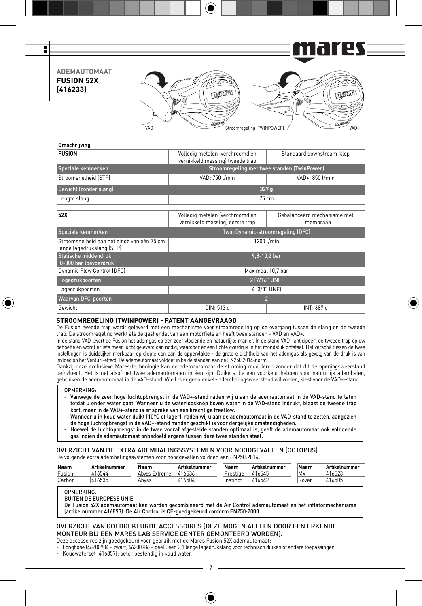

⊕

# **Omschrijving**

| Volledig metalen (verchroomd en<br>vernikkeld messing) tweede trap | Standaard downstream-klep               |  |  |  |  |
|--------------------------------------------------------------------|-----------------------------------------|--|--|--|--|
| Stroomregeling met twee standen (TwinPower)                        |                                         |  |  |  |  |
| VAD: 750 U/min                                                     | VAD+: 850 l/min                         |  |  |  |  |
| 327 g                                                              |                                         |  |  |  |  |
|                                                                    | $75 \text{ cm}$                         |  |  |  |  |
|                                                                    |                                         |  |  |  |  |
| Volledig metalen (verchroomd en<br>vernikkeld messing) eerste trap | Gebalanceerd mechanisme met<br>membraan |  |  |  |  |
| Twin Dynamic-stroomregeling (DFC)                                  |                                         |  |  |  |  |
|                                                                    | 1200 l/min                              |  |  |  |  |
|                                                                    | 9,8-10,2 bar                            |  |  |  |  |
|                                                                    | Maximaal 10.7 bar                       |  |  |  |  |
| 2 (7/16" UNF)                                                      |                                         |  |  |  |  |
|                                                                    | 4 (3/8" UNF)                            |  |  |  |  |
| $\overline{2}$                                                     |                                         |  |  |  |  |
| DIN: 513 g                                                         | INT: 687 g                              |  |  |  |  |
|                                                                    |                                         |  |  |  |  |

# **STROOMREGELING (TWINPOWER) - PATENT AANGEVRAAGD**

De Fusion tweede trap wordt geleverd met een mechanisme voor stroomregeling op de overgang tussen de slang en de tweede trap. De stroomregeling werkt als de gashendel van een motorfiets en heeft twee standen - VAD en VAD+.

⊕

In de stand VAD levert de Fusion het ademgas op een zeer vloeiende en natuurlijke manier. In de stand VAD+ anticipeert de tweede trap op uw behoefte en wordt er iets meer lucht geleverd dan nodig, waardoor er een lichte overdruk in het mondstuk ontstaat. Het verschil tussen de twee instellingen is duidelijker merkbaar op diepte dan aan de oppervlakte - de grotere dichtheid van het ademgas als gevolg van de druk is van invloed op het Venturi-effect. De ademautomaat voldoet in beide standen aan de EN250:2014-norm.

Dankzij deze exclusieve Mares-technologie kan de ademautomaat de stroming moduleren zonder dat dit de openingsweerstand beïnvloedt. Het is net alsof het twee ademautomaten in één zijn. Duikers die een voorkeur hebben voor natuurlijk ademhalen, gebruiken de ademautomaat in de VAD-stand. Wie liever geen enkele ademhalingsweerstand wil voelen, kiest voor de VAD+-stand.

### OPMERKING:

⊕

- Vanwege de zeer hoge luchtopbrengst in de VAD+-stand raden wij u aan de ademautomaat in de VAD-stand te laten totdat u onder water gaat. Wanneer u de waterloosknop boven water in de VAD-stand indrukt, blaast de tweede trap kort, maar in de VAD+-stand is er sprake van een krachtige freeflow.
- Wanneer u in koud water duikt (10°C of lager), raden wij u aan de ademautomaat in de VAD-stand te zetten, aangezien de hoge luchtopbrengst in de VAD+-stand minder geschikt is voor dergelijke omstandigheden.
- Hoewel de luchtopbrengst in de twee vooraf afgestelde standen optimaal is, geeft de ademautomaat ook voldoende gas indien de ademautomaat onbedoeld ergens tussen deze twee standen staat.

### OVERZICHT VAN DE EXTRA ADEMHALINGSSYSTEMEN VOOR NOODGEVALLEN (OCTOPUS) De volgende extra ademhalingssystemen voor noodgevallen voldoen aan EN250:2014.

| Naam   | <b>Artikelnummer</b> | Naam          | Artikelnummer | Naam     | Artikelnummer | Naam  | Artikelnummer |
|--------|----------------------|---------------|---------------|----------|---------------|-------|---------------|
| Fusion | 416544               | Abyss Extreme | 416536        | Prestige | 416545        | M\    | 416523        |
| Carbon | 416535               | Abvss         | 16504         | Instinct | 1416542       | Rover | 416505        |

### OPMERKING:

BUITEN DE EUROPESE UNIE

De Fusion 52X ademautomaat kan worden gecombineerd met de Air Control ademautomaat en het inflatormechanisme (artikelnummer 416893). De Air Control is CE-goedgekeurd conform EN250:2000.

### OVERZICHT VAN GOEDGEKEURDE ACCESSOIRES (DEZE MOGEN ALLEEN DOOR EEN ERKENDE MONTEUR BIJ EEN MARES LAB SERVICE CENTER GEMONTEERD WORDEN).

Deze accessoires zijn goedgekeurd voor gebruik met de Mares Fusion 52X ademautomaat:

- Longhose (46200984 zwart, 46200986 geel): een 2,1 lange lagedrukslang voor technisch duiken of andere toepassingen.
- Koudwaterset (416857): beter bestendig in koud water.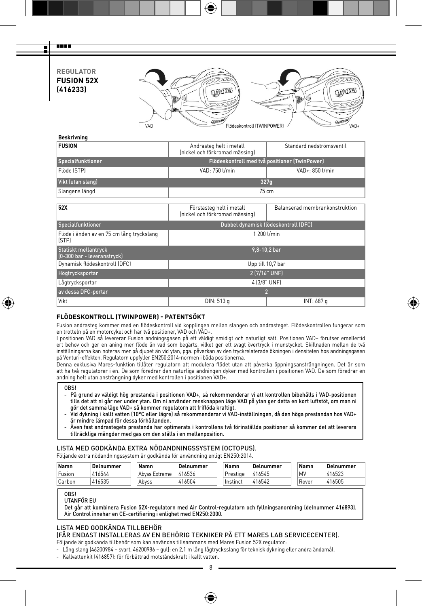**REGULATOR FUSION 52X (416233)**

man a Ŧ



| Andrasteg helt i metall<br>(nickel och förkromad mässing)  | Standard nedströmsventil       |  |  |  |  |  |  |
|------------------------------------------------------------|--------------------------------|--|--|--|--|--|--|
| Flödeskontroll med två positioner (TwinPower)              |                                |  |  |  |  |  |  |
| VAD: 750 U/min                                             | VAD+: 850 l/min                |  |  |  |  |  |  |
|                                                            | 327q                           |  |  |  |  |  |  |
|                                                            | $75 \text{ cm}$                |  |  |  |  |  |  |
|                                                            |                                |  |  |  |  |  |  |
| Förstasteg helt i metall<br>(nickel och förkromad mässing) | Balanserad membrankonstruktion |  |  |  |  |  |  |
| Dubbel dynamisk flödeskontroll (DFC)                       |                                |  |  |  |  |  |  |
|                                                            | 1 200 l/min                    |  |  |  |  |  |  |
|                                                            | 9,8-10,2 bar                   |  |  |  |  |  |  |
|                                                            | Upp till 10,7 bar              |  |  |  |  |  |  |
| 2 (7/16" UNF)                                              |                                |  |  |  |  |  |  |
| 4 (3/8" UNF)                                               |                                |  |  |  |  |  |  |
|                                                            | $\overline{2}$                 |  |  |  |  |  |  |
| DIN: 513 g                                                 | INT: 687 g                     |  |  |  |  |  |  |
|                                                            |                                |  |  |  |  |  |  |

# **FLÖDESKONTROLL (TWINPOWER) - PATENTSÖKT**

Fusion andrasteg kommer med en flödeskontroll vid kopplingen mellan slangen och andrasteget. Flödeskontrollen fungerar som en trotteln på en motorcykel och har två positioner, VAD och VAD+.

⊕

I positionen VAD så levererar Fusion andningsgasen på ett väldigt smidigt och naturligt sätt. Positionen VAD+ förutser emellertid ert behov och ger en aning mer flöde än vad som begärts, vilket ger ett svagt övertryck i munstycket. Skillnaden mellan de två inställningarna kan noteras mer på djupet än vid ytan, pga. påverkan av den tryckrelaterade ökningen i densiteten hos andningsgasen på Venturi-effekten. Regulatorn uppfyller EN250:2014-normen i båda positionerna.

Denna exklusiva Mares-funktion tillåter regulatorn att modulera flödet utan att påverka öppningsansträngningen. Det är som att ha två regulatorer i en. De som föredrar den naturliga andningen dyker med kontrollen i positionen VAD. De som föredrar en andning helt utan ansträngning dyker med kontrollen i positionen VAD+.

⊕

- På grund av väldigt hög prestanda i positionen VAD+, så rekommenderar vi att kontrollen bibehålls i VAD-positionen tills det att ni går ner under ytan. Om ni använder rensknappen läge VAD på ytan ger detta en kort luftstöt, om man ni gör det samma läge VAD+ så kommer regulatorn att friflöda kraftigt.
- Vid dykning i kallt vatten (10°C eller lägre) så rekommenderar vi VAD-inställningen, då den höga prestandan hos VAD+ är mindre lämpad för dessa förhållanden.
- Även fast andrastegets prestanda har optimerats i kontrollens två förinställda positioner så kommer det att leverera tillräckliga mängder med gas om den ställs i en mellanposition.

### LISTA MED GODKÄNDA EXTRA NÖDANDNINGSSYSTEM (OCTOPUS).

Följande extra nödandningssystem är godkända för användning enligt EN250:2014.

| Namn   | Delnummer | Namn          | : Delnummer | Namn            | Delnummer | Namn  | Delnummer |
|--------|-----------|---------------|-------------|-----------------|-----------|-------|-----------|
| Fusion | 416544    | Abyss Extreme | 416536      | Prestige        | 416545    | MV    | 416523    |
| Carbon | 416535    | Abvss         | 416504      | <b>Instinct</b> | 416542    | Rover | 416505    |

### OBS!

UTANFÖR EU

Det går att kombinera Fusion 52X-regulatorn med Air Control-regulatorn och fyllningsanordning (delnummer 416893). Air Control innehar en CE-certifiering i enlighet med EN250:2000.

### LISTA MED GODKÄNDA TILLBEHÖR

(FÅR ENDAST INSTALLERAS AV EN BEHÖRIG TEKNIKER PÅ ETT MARES LAB SERVICECENTER).

Följande är godkända tillbehör som kan användas tillsammans med Mares Fusion 52X regulator:

- Lång slang (46200984 – svart, 46200986 – gul): en 2,1 m lång lågtrycksslang för teknisk dykning eller andra ändamål.

- Kallvattenkit (416857): för förbättrad motståndskraft i kallt vatten.

8

**OBS!**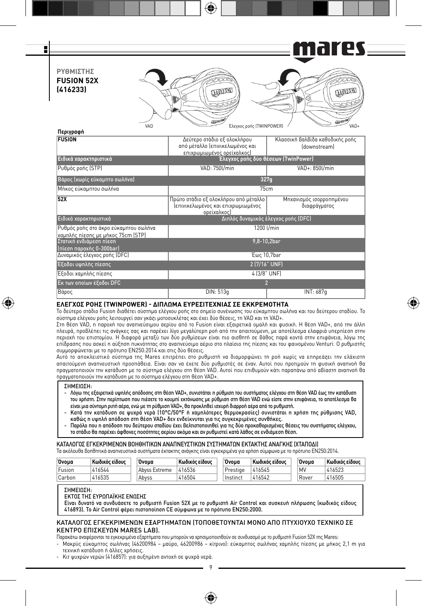

⊕

# **ΕΛΕΓΧΟΣ ΡΟΗΣ (TWINPOWER) - ΔΙΠΛΩΜΑ ΕΥΡΕΣΙΤΕΧΝΙΑΣ ΣΕ ΕΚΚΡΕΜΟΤΗΤΑ**

Το δεύτερο στάδιο Fusion διαθέτει σύστημα ελέγχου ροής στο σημείο συνένωσης του εύκαμπτου σωλήνα και του δεύτερου σταδίου. Το σύστημα ελέγχου ροής λειτουργεί σαν γκάζι μοτοσυκλέτας και έχει δύο θέσεις, τη VAD και τη VAD+.

⊕

Στη θέση VAD, η παροχή του αναπνεύσιμου αερίου από το Fusion είναι εξαιρετικά ομαλή και φυσική. Η θέση VAD+, από την άλλη πλευρά, προβλέπει τις ανάγκες σας και παρέχει λίγο μεγαλύτερη ροή από την απαιτούμενη, με αποτέλεσμα ελαφριά υπερπίεση στην περιοχή του επιστομίου. Η διαφορά μεταξύ των δύο ρυθμίσεων είναι πιο αισθητή σε βάθος παρά κοντά στην επιφάνεια, λόγω της επίδρασης που ασκεί η αύξηση πυκνότητας στο αναπνεύσιμο αέριο στο πλαίσιο της πίεσης και του φαινομένου Venturi. Ο ρυθμιστής συμμορφώνεται με το πρότυπο EN250:2014 και στις δύο θέσεις.

Αυτό το αποκλειστικό σύστημα της Mares επιτρέπει στο ρυθμιστή να διαμορφώνει τη ροή χωρίς να επηρεάζει την ελάχιστη απαιτούμενη αναπνευστική προσπάθεια. Είναι σαν να έχετε δύο ρυθμιστές σε έναν. Αυτοί που προτιμούν τη φυσική αναπνοή θα πραγματοποιούν την κατάδυση με το σύστημα ελέγχου στη θέση VAD. Αυτοί που επιθυμούν κάτι παραπάνω από αβίαστη αναπνοή θα πραγματοποιούν την κατάδυση με το σύστημα ελέγχου στη θέση VAD+.

### ΣΗΜΕΙΩΣΗ:

⊕

- Λόγω της εξαιρετικά υψηλής απόδοσης στη θέση VAD+, συνιστάται η ρύθμιση του συστήματος ελέγχου στη θέση VAD έως την κατάδυση του χρήστη. Στην περίπτωση που πιέσετε το κουμπί εκτόνωσης με ρύθμιση στη θέση VAD ενώ είστε στην επιφάνεια, το αποτέλεσμα θα είναι μια σύντομη ριπή αέρα, ενώ με τη ρύθμιση VAD+, θα προκληθεί ισχυρή διαρροή αέρα από το ρυθμιστή.
- Κατά την κατάδυση σε ψυχρά νερά (10°C/50°F ή χαμηλότερες θερμοκρασίες) συνιστάται η χρήση της ρύθμισης VAD, καθώς η υψηλή απόδοση στη θέση VAD+ δεν ενδείκνυται για τις συγκεκριμένες συνθήκες.
- Παρόλο που η απόδοση του δεύτερου σταδίου έχει βελτιστοποιηθεί για τις δύο προκαθορισμένες θέσεις του συστήματος ελέγχου, το στάδιο θα παρέχει άφθονες ποσότητες αερίου ακόμα και αν ρυθμιστεί κατά λάθος σε ενδιάμεση θέση.

### ΚΑΤΑΛΟΓΟΣ ΕΓΚΕΚΡΙΜΕΝΩΝ ΒΟΗΘΗΤΙΚΩΝ ΑΝΑΠΝΕΥΣΤΙΚΩΝ ΣΥΣΤΗΜΑΤΩΝ ΕΚΤΑΚΤΗΣ ΑΝΑΓΚΗΣ (ΧΤΑΠΟΔΙ)

Τα ακόλουθα βοηθητικά αναπνευστικά συστήματα έκτακτης ανάγκης είναι εγκεκριμένα για χρήση σύμφωνα με το πρότυπο EN250:2014.

| Ovoua  | Κωδικός είδους | Ovoua         | Κωδικός είδους | 'Ovoua   | Κωδικός είδους | 'Ovoua | Κωδικός είδους |
|--------|----------------|---------------|----------------|----------|----------------|--------|----------------|
| Fusion | 416544         | Abvss Extreme | 416536         | Prestige | 416545         | MV     | 416523         |
| Carbon | 416535         | Abvss         | 416504         | Instinct | 416542         | Rover  | 416505         |

#### ΣΗΜΕΙΩΣΗ:

ΕΚΤΟΣ ΤΗΣ ΕΥΡΩΠΑΪΚΗΣ ΕΝΩΣΗΣ

Είναι δυνατό να συνδυάσετε το ρυθμιστή Fusion 52X με το ρυθμιστή Air Control και συσκευή πλήρωσης (κωδικός είδους 416893). Το Air Control φέρει πιστοποίηση CE σύμφωνα με το πρότυπο EN250:2000.

### ΚΑΤΑΛΟΓΟΣ ΕΓΚΕΚΡΙΜΕΝΩΝ ΕΞΑΡΤΗΜΑΤΩΝ (ΤΟΠΟΘΕΤΟΥΝΤΑΙ ΜΟΝΟ ΑΠΟ ΠΤΥΧΙΟΥΧΟ ΤΕΧΝΙΚΟ ΣΕ ΚΕΝΤΡΟ ΕΠΙΣΚΕΥΩΝ MARES LAB).

Παρακάτω αναφέρονται τα εγκεκριμένα εξαρτήματα που μπορούν να χρησιμοποιηθούν σε συνδυασμό με το ρυθμιστή Fusion 52X της Mares:

- Μακρύς εύκαμπτος σωλήνας (46200984 – μαύρο, 46200986 – κίτρινο): εύκαμπτος σωλήνας χαμηλής πίεσης με μήκος 2,1 m για τεχνική κατάδυση ή άλλες χρήσεις.

9

♠

- Κιτ ψυχρών νερών (416857): για αυξημένη αντοχή σε ψυχρά νερά.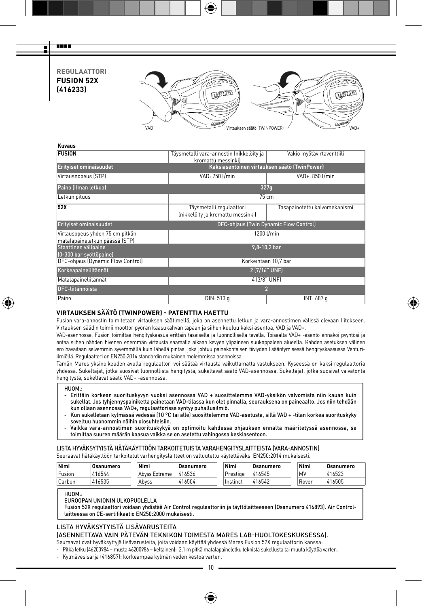**REGULAATTORI FUSION 52X (416233)**



⊕

#### **Kuvaus**

man a Ŧ

| <b>FUSION</b>                                                     | Täysmetalli vara-annostin (nikkelöity ja<br>kromattu messinkil | Vakio myötävirtaventtiili                    |  |  |  |  |
|-------------------------------------------------------------------|----------------------------------------------------------------|----------------------------------------------|--|--|--|--|
| <b>Erityiset ominaisuudet</b>                                     |                                                                | Kaksiasentoinen virtauksen säätö (TwinPower) |  |  |  |  |
| Virtausnopeus (STP)                                               | VAD: 750 l/min                                                 | VAD+: 850 l/min                              |  |  |  |  |
| Paino (ilman letkua)                                              | 327q                                                           |                                              |  |  |  |  |
| Letkun pituus                                                     | 75 cm                                                          |                                              |  |  |  |  |
| 52X                                                               | Täysmetalli regulaattori<br>(nikkelöity ja kromattu messinki)  | Tasapainotettu kalvomekanismi                |  |  |  |  |
| Erityiset ominaisuudet                                            | DFC-ohjaus (Twin Dynamic Flow Control)                         |                                              |  |  |  |  |
| Virtausopeus yhden 75 cm pitkän<br>matalapaineletkun päässä (STP) |                                                                | 1200 l/min                                   |  |  |  |  |
| Staattinen välipaine<br>(0-300 bar syöttöpaine)                   |                                                                | 9.8-10.2 bar                                 |  |  |  |  |
| DFC-ohjaus (Dynamic Flow Control)                                 |                                                                | Korkeintaan 10.7 bar                         |  |  |  |  |
| Korkeapaineliitännät                                              | 2 (7/16" UNF)                                                  |                                              |  |  |  |  |
| Matalapaineliitännät                                              | 4 (3/8" UNF)                                                   |                                              |  |  |  |  |
| DFC-liitännöistä                                                  |                                                                | $\overline{2}$                               |  |  |  |  |
| Paino                                                             | DIN: 513 g                                                     | INT: 687 g                                   |  |  |  |  |

# **VIRTAUKSEN SÄÄTÖ (TWINPOWER) - PATENTTIA HAETTU**

Fusion vara-annostin toimitetaan virtauksen säätimellä, joka on asennettu letkun ja vara-annostimen välissä olevaan liitokseen. Virtauksen säädin toimii moottoripyörän kaasukahvan tapaan ja siihen kuuluu kaksi asentoa, VAD ja VAD+.

VAD-asennossa, Fusion toimittaa hengityskaasua erittäin tasaisella ja luonnollisella tavalla. Toisaalta VAD+ -asento ennakoi pyyntösi ja antaa siihen nähden hivenen enemmän virtausta saamalla aikaan kevyen ylipaineen suukappaleen alueella. Kahden asetuksen välinen ero havaitaan selvemmin syvemmällä kuin lähellä pintaa, joka johtuu painekohtaisen tiiviyden lisääntymisessä hengityskaasussa Venturiilmiöllä. Regulaattori on EN250:2014 standardin mukainen molemmissa asennoissa.

Tämän Mares yksinoikeuden avulla regulaattori voi säätää virtausta vaikuttamatta vastukseen. Kyseessä on kaksi regulaattoria yhdessä. Sukeltajat, jotka suosivat luonnollista hengitystä, sukeltavat säätö VAD-asennossa. Sukeltajat, jotka suosivat vaivatonta hengitystä, sukeltavat säätö VAD+ -asennossa.

### HUOM.:

⊕

- Erittäin korkean suorituskyvyn vuoksi asennossa VAD + suosittelemme VAD-yksikön valvomista niin kauan kuin sukellat. Jos tyhjennyspainiketta painetaan VAD-tilassa kun olet pinnalla, seurauksena on paineaalto. Jos niin tehdään
- kun ollaan asennossa VAD+, regulaattorissa syntyy puhallusilmiö. Kun sukelletaan kylmässä vedessä (10 °C tai alle) suosittelemme VAD-asetusta, sillä VAD + -tilan korkea suorituskyky soveltuu huonommin näihin olosuhteisiin.
- Vaikka vara-annostimen suorituskykyä on optimoitu kahdessa ohjauksen ennalta määritetyssä asennossa, se toimittaa suuren määrän kaasua vaikka se on asetettu vahingossa keskiasentoon.

# LISTA HYVÄKSYTYISTÄ HÄTÄKÄYTTÖÖN TARKOITETUISTA VARAHENGITYSLAITTEISTA (VARA-ANNOSTIN)

Seuraavat hätäkäyttöön tarkoitetut varhengityslaitteet on valtuutettu käytettäväksi EN250:2014 mukaisesti.

| Nimi   | Osanumero | Nimi          | Osanumero | Nimi     | Osanumero | Nimi  | Osanumero |
|--------|-----------|---------------|-----------|----------|-----------|-------|-----------|
| Fusion | 416544    | Abyss Extreme | 416536    | Prestige | 416545    | MV    | 416523    |
| Carbon | 416535    | Abvss         | 416504    | Instinct | 416542    | Rover | 416505    |

HUOM.:

#### EUROOPAN UNIONIN ULKOPUOLELLA

Fusion 52X regulaattori voidaan yhdistää Air Control regulaattoriin ja täyttölaitteeseen (Osanumero 416893). Air Controllaitteessa on CE-sertifikaatio EN250:2000 mukaisesti.

# LISTA HYVÄKSYTYISTÄ LISÄVARUSTEITA

### (ASENNETTAVA VAIN PÄTEVÄN TEKNIKON TOIMESTA MARES LAB-HUOLTOKESKUKSESSA).

Seuraavat ovat hyväksyttyjä lisävarusteita, joita voidaan käyttää yhdessä Mares Fusion 52X regulaattorin kanssa:

- Pitkä letku (46200984 musta 46200986 keltainen): 2,1 m pitkä matalapaineletku teknistä sukellusta tai muuta käyttöä varten.
- Kylmävesisarja (416857): korkeampaa kylmän veden kestoa varten.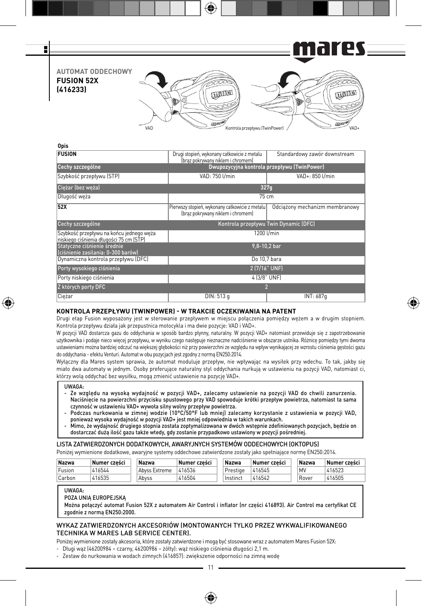

| vus                                                                                 |                                                                                     |                                |  |  |  |  |  |
|-------------------------------------------------------------------------------------|-------------------------------------------------------------------------------------|--------------------------------|--|--|--|--|--|
| <b>FUSION</b>                                                                       | Drugi stopień, wykonany całkowicie z metalu<br>(braz pokrywany niklem i chromem)    | Standardowy zawór downstream   |  |  |  |  |  |
| Cechy szczególne                                                                    | Dwupozycyjna kontrola przepływu (TwinPower)                                         |                                |  |  |  |  |  |
| Szybkość przepływu (STP)                                                            | VAD: 750 I/min                                                                      | VAD+: 850 l/min                |  |  |  |  |  |
| Cieżar (bez weża)                                                                   | 327q                                                                                |                                |  |  |  |  |  |
| Długość weża                                                                        | $75 \text{ cm}$                                                                     |                                |  |  |  |  |  |
| <b>52X</b>                                                                          | Pierwszy stopień, wykonany całkowicie z metalu<br>(braz pokrywany niklem i chromem) | Odciażony mechanizm membranowy |  |  |  |  |  |
| Cechy szczególne                                                                    | Kontrola przepływu Twin Dynamic (DFC)                                               |                                |  |  |  |  |  |
| Szybkość przepływu na końcu jednego weża<br>niskiego ciśnienia długości 75 cm (STP) | 1200 l/min                                                                          |                                |  |  |  |  |  |
| Statyczne ciśnienie średnie<br>(ciśnienie zasilania: 0-300 barów)                   | 9,8-10,2 bar                                                                        |                                |  |  |  |  |  |
| Dynamiczna kontrola przepływu (DFC)                                                 | Do 10,7 bara                                                                        |                                |  |  |  |  |  |
| Porty wysokiego ciśnienia                                                           | 2 (7/16" UNF)                                                                       |                                |  |  |  |  |  |
| Porty niskiego ciśnienia                                                            | 4 (3/8" UNF)                                                                        |                                |  |  |  |  |  |
| Z których porty DFC                                                                 | 2                                                                                   |                                |  |  |  |  |  |
| Cieżar                                                                              | DIN: 513 g                                                                          | INT: 687q                      |  |  |  |  |  |

### **KONTROLA PRZEPŁYWU (TWINPOWER) - W TRAKCIE OCZEKIWANIA NA PATENT**

Drugi etap Fusion wyposażony jest w sterowanie przepływem w miejscu połączenia pomiędzy wężem a w drugim stopniem. Kontrola przepływu działa jak przepustnica motocykla i ma dwie pozycje: VAD i VAD+.

⊕

W pozycji VAD dostarcza gazu do oddychania w sposób bardzo płynny, naturalny. W pozycji VAD+ natomiast przewiduje się z zapotrzebowanie użytkownika i podaje nieco więcej przepływu, w wyniku czego następuje nieznaczne nadciśnienie w obszarze ustnika. Różnicę pomiędzy tymi dwoma ustawieniami można bardziej odczuć na większej głębokości niż przy powierzchni ze względu na wpływ wynikającej ze wzrostu ciśnienia gęstości gazu do oddychania - efektu Venturi. Automat w obu pozycjach jest zgodny z normą EN250:2014.

Wyłączny dla Mares system sprawia, że automat moduluje przepływ, nie wpływając na wysiłek przy wdechu. To tak, jakby się miało dwa automaty w jednym. Osoby preferujące naturalny styl oddychania nurkują w ustawieniu na pozycji VAD, natomiast ci, którzy wolą oddychać bez wysiłku, mogą zmienić ustawienie na pozycję VAD+.

### UWAGA:

⊕

**Opis**

- Ze względu na wysoką wydajność w pozycji VAD+, zalecamy ustawienie na pozycji VAD do chwili zanurzenia. Naciśnięcie na powierzchni przycisku spustowego przy VAD spowoduje krótki przepływ powietrza, natomiast ta sama czynność w ustawieniu VAD+ wywoła silny wolny przepływ powietrza.
- Podczas nurkowania w zimnej wodzie (10°C/50°F lub mniej) zalecamy korzystanie z ustawienia w pozycji VAD, ponieważ wysoka wydajność w pozycji VAD+ jest mniej odpowiednia w takich warunkach.
- Mimo, że wydajność drugiego stopnia została zoptymalizowana w dwóch wstępnie zdefiniowanych pozycjach, będzie on dostarczać dużą ilość gazu także wtedy, gdy zostanie przypadkowo ustawiony w pozycji pośredniej.

### LISTA ZATWIERDZONYCH DODATKOWYCH, AWARYJNYCH SYSTEMÓW ODDECHOWYCH (OKTOPUS)

Poniżej wymienione dodatkowe, awaryjne systemy oddechowe zatwierdzone zostały jako spełniające normę EN250:2014.

| Nazwa  | Numer cześci | Nazwa         | Numer cześci | Nazwa    | Numer cześci | Nazwa | Numer cześci |
|--------|--------------|---------------|--------------|----------|--------------|-------|--------------|
| Fusion | 416544       | Abvss Extreme | 416536       | Prestige | 416545       | MV    | 416523       |
| Carbon | 416535       | Abvss         | 416504       | Instinct | 416542       | Rover | 416505       |

UWAGA:

POZA UNIĄ EUROPEJSKĄ

Można połączyć automat Fusion 52X z automatem Air Control i inflator (nr części 416893). Air Control ma certyfikat CE zgodnie z normą EN250:2000.

### WYKAZ ZATWIERDZONYCH AKCESORIÓW (MONTOWANYCH TYLKO PRZEZ WYKWALIFIKOWANEGO TECHNIKA W MARES LAB SERVICE CENTER).

Poniżej wymienione zostały akcesoria, które zostały zatwierdzone i mogą być stosowane wraz z automatem Mares Fusion 52X:

- Długi wąż (46200984 – czarny, 46200986 – żółty): wąż niskiego ciśnienia długości 2,1 m.

- Zestaw do nurkowania w wodach zimnych (416857): zwiększenie odporności na zimną wodę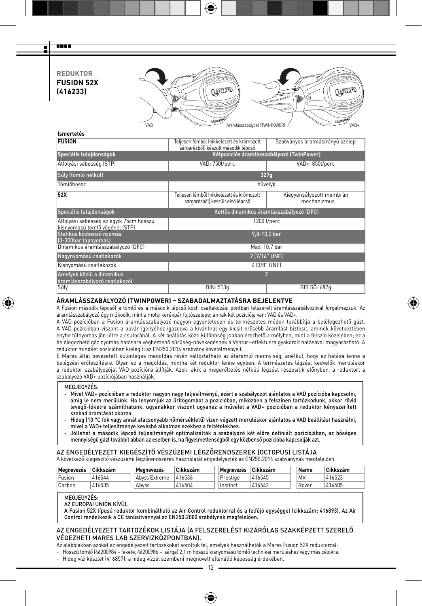**REDUKTOR FUSION 52X (416233)**

--g



| <b>Ismertetes</b>                                                         |                                                                                  |                                           |  |  |  |  |  |
|---------------------------------------------------------------------------|----------------------------------------------------------------------------------|-------------------------------------------|--|--|--|--|--|
| <b>FUSION</b>                                                             | Teljesen fémből (nikkelezett és krómozott<br>sárgarézből) készült második lépcső | Szabványos áramlásirányú szelep           |  |  |  |  |  |
| Speciális tulajdonságok                                                   |                                                                                  | Kétpozíciós áramlásszabályozó (TwinPower) |  |  |  |  |  |
| Atfolyási sebesség (STP)                                                  | VAD: 750l/perc                                                                   | VAD+: 850l/perc                           |  |  |  |  |  |
| Súly (tömlő nélkül)                                                       |                                                                                  | 327q                                      |  |  |  |  |  |
| Tömlőhossz                                                                |                                                                                  | hüvelyk                                   |  |  |  |  |  |
| 52X                                                                       | Teljesen fémből (nikkelezett és krómozott<br>sárgarézből) készült első lépcső    | Kiegyensúlyozott membrán<br>mechanizmus   |  |  |  |  |  |
| Speciális tulajdonságok                                                   |                                                                                  | Kettős dinamikus áramlásszabályozó (DFC)  |  |  |  |  |  |
| Átfolyási sebesség az egyik 75cm hosszú<br>kisnyomású tömlő végénél (STP) |                                                                                  | 1200 l/perc                               |  |  |  |  |  |
| Statikus közbenső nyomás<br>[0-300bar tápnyomás]                          |                                                                                  | 9,8-10,2 bar                              |  |  |  |  |  |
| Dinamikus áramlásszabályozó (DFC)                                         |                                                                                  | Max. 10,7 bar                             |  |  |  |  |  |
| Nagynyomású csatlakozók                                                   |                                                                                  | 2 (7/16" UNF)                             |  |  |  |  |  |
| Kisnyomású csatlakozók                                                    |                                                                                  | 4 (3/8" UNF)                              |  |  |  |  |  |
| Amelyek közül a dinamikus<br>áramlásszabályozó csatlakozói                |                                                                                  | $\overline{\phantom{a}}$                  |  |  |  |  |  |
| Súly                                                                      | DIN: 513q                                                                        | BELSŐ: 687q                               |  |  |  |  |  |

# **ÁRAMLÁSSZABÁLYOZÓ (TWINPOWER) – SZABADALMAZTATÁSRA BEJELENTVE**

A Fusion második lépcsőt a tömlő és a második lépcső közti csatlakozási pontban felszerelt áramlásszabályozóval forgalmazzuk. Az áramlásszabályozó úgy működik, mint a motorkerékpár fojtószelepe; annak két pozíciója van: VAD és VAD+.

A VAD pozícióban a Fusion áramlásszabályozó nagyon egyenletesen és természetes módon továbbítja a belélegezhető gázt. A VAD pozícióban viszont a búvár igényéhez igazodva a kívántnál egy kicsit erősebb áramlást biztosít, aminek következtében enyhe túlnyomás jön létre a csutoránál. A két beállítás közti különbség jobban érezhető a mélyben, mint a felszín közelében; ez a belélegezhető gáz nyomás hatására végbemenő sűrűség-növekedésnek a Venturi-effektusra gyakorolt hatásával magyarázható. A reduktor mindkét pozícióban kielégíti az EN250:2014 szabvány követelményeit.

E Mares által bevezetett különleges megoldás révén változtatható az átáramló mennyiség, anélkül, hogy ez hatása lenne a belégzési erőfeszítésre. Olyan ez a megoldás, mintha két reduktor lenne egyben. A természetes légzést kedvelők merüléskor a reduktor szabályozóját VAD pozícióra állítják. Azok, akik a megerőltetés nélküli légzést részesítik előnyben, a reduktort a szabályozó VAD+ pozíciójában használják.

#### MEGJEGYZÉS:

₩

- Mivel VAD+ pozícióban a reduktor nagyon nagy teljesítményű, ezért a szabályozót ajánlatos a VAD pozícióba kapcsolni, amíg le nem merülünk. Ha lenyomjuk az ürítőgombot a pozícióban, miközben a felszínen tartózkodunk, akkor rövid levegő-löketre számíthatunk, ugyanakkor viszont ugyanez a művelet a VAD+ pozícióban a reduktor kényszerített szabad áramlását okozza.
- Hideg (10 °C fok vagy annál alacsonyabb hőmérsékletű) vízen végzett merüléskor ajánlatos a VAD beállítást használni, mivel a VAD+ teljesítménye kevésbé alkalmas ezekhez a feltételekhez.
- Jóllehet a második lépcső teljesítményét optimalizálták a szabályozó két előre definiált pozíciójában, az bőséges mennyiségű gázt továbbít abban az esetben is, ha figyelmetlenségből egy közbenső pozícióba kapcsolják azt.

### AZ ENGEDÉLYEZETT KIEGÉSZÍTŐ VÉSZÜZEMI LÉGZŐRENDSZEREK (OCTOPUS) LISTÁJA A következő kiegészítő vészüzemi légzőrendszerek használatát engedélyezték az EN250:2014 szabványnak megfelelően.

| <b>Megnevezés</b> | Cikkszám | Meanevezes    | Cikkszám | Meanevezés | Cikkszám | Name  | Cikkszám |
|-------------------|----------|---------------|----------|------------|----------|-------|----------|
| Fusion            | 416544   | Abyss Extreme | 416536   | Prestige   | 416545   | MV    | 416523   |
| Carbon            | 416535   | Abvss         | 416504   | Instinct   | 416542   | Rover | 416505   |

MEGJEGYZÉS:

AZ EURÓPAI UNIÓN KÍVÜL

A Fusion 52X típusú reduktor kombinálható az Air Control reduktorral és a felfújó egységgel (cikkszám: 416893). Az Air Control rendelkezik a CE tanúsítvánnyal az EN250:2000 szabálynak megfelelően.

# AZ ENGEDÉLYEZETT TARTOZÉKOK LISTÁJA (A FELSZERELÉST KIZÁRÓLAG SZAKKÉPZETT SZERELŐ VÉGEZHETI MARES LAB SZERVIZKÖZPONTBAN).

Az alábbiakban azokat az engedélyezett tartozékokat soroltuk fel, amelyek használhatók a Mares Fusion 52X reduktorral:

- Hosszú tömlő (46200984 – fekete, 46200986 – sárga) 2,1 m hosszú kisnyomású tömlő technikai merüléshez vagy más célokra.

- Hideg vízi készlet (416857): a hideg vízzel szembeni megnövelt ellenálló képesség érdekében.

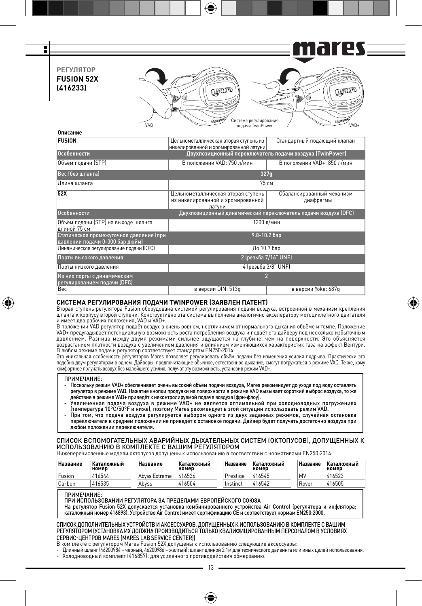mares F **РЕГУЛЯТОР FUSION 52X (416233) COLLEGE LUTTING** VAD **CALCER DE CONSTANT CONTRACT CONSTANT** CONSTANT CONSTANT ON A CONSTANT VAD-**Описание FUSION** Цельнометаллическая вторая ступень из Стандартный подающий клапан никелированной и хромированной латуни **Особенности Двухпозиционный переключатель подачи воздуха (TwinPower)** Объём подачи (STP) В положении VAD: 750 л/мин В положении VAD+: 850 л/мин Вес (без шланга) **327g** Длина шланга 75 см **52X** Цельнометаллическая вторая ступень Сбалансированный механизм из никелированной и хромированной диафрагмы

€

|  |  | СИСТЕМА РЕГУЛИРОВАНИЯ ПОДАЧИ TWINPOWER (ЗАЯВЛЕН ПАТЕНТ) |  |
|--|--|---------------------------------------------------------|--|
|  |  |                                                         |  |

Динамическое регулирование подачи (DFC) До 10.7 бар Порты высокого давления 2 (резьба 7/16" UNF) Порты низкого давления **1988 году и 1988 году в 1988 году** 4 (резьба 3/8" UNF)

**СИСТЕМА РЕГУЛИРОВАНИЯ ПОДАЧИ TWINPOWER (ЗАЯВЛЕН ПАТЕНТ)**<br>Вторая ступень регулятора Fusion оборудована системой регулирования подачи воздуха, встроенной в механизм крепления шланга к корпусу второй ступени. Конструктивно эта система выполнена аналогично акселератору мотоциклетного двигателя и имеет два рабочих положения, VAD и VAD+.

Вес в версии DIN: 513g в версии Yoke: 687g

латуни

1200 л/мин

9.8-10.2 бар

⊕

Особенности Двухпозиционный динамический переключатель подачи воздуха (DFC)

В положении VAD регулятор подаёт воздух в очень ровном, неотличимом от нормального дыхания объёме и темпе. Положение VAD+ предугадывает потенциальную возможность роста потребления воздуха и подаёт его дайверу под несколько избыточным давлением. Разница между двумя режимами сильнее ощущается на глубине, чем на поверхности. Это объясняется возрастанием плотности воздуха с увеличением давления и влиянием изменяющихся характеристик газа на эффект Вентури. В любом режиме подачи регулятор соответствует стандартам EN250:2014.

эта уникальная особенность регуляторов Mares позволяет регулировать объем подачи без изменения усилия подрыва. Практически это<br>подобно двум регуляторам в одном. Дайверы, предпочитающие обычное, естественное дыхание, смогу

#### ПРИМЕЧАНИЕ:

Объём подачи (STP) на выходе шланга

Из них порты с динамическим регулированием подачи (DFC)

Статическое промежуточное давление (при давлении подачи 0-300 бар дюйм)

длиной 75 см

⊕

- Поскольку режим VAD+ обеспечивает очень высокий объём подачи воздуха, Mares рекомендует до ухода под воду оставлять<br>регулятор в режиме VAD. Нажатие кнопки продувки на поверхности в режиме VAD вызывает короткий выброс во действие в режиме VAD+ приведёт к неконтролируемой подаче воздуха (фри-флоу).<br>Увеличенная подача воздуха в режиме VAD+ не является оптимальной при холодноводных погружениях
- $\tau$  Гемпература 10°С/50°F и ниже), поэтому Mares рекомендует в этой ситуации использовать режим VAD.
- При том, что подача воздуха регулируется выбором одного из двух заданных режимов, случайная остановка переключателя в среднем положении не приведёт к остановке подачи. Дайвер будет получать достаточно воздуха при любом положении переключателя.

СПИСОК ВСПОМОГАТЕЛЬНЫХ АВАРИЙНЫХ ДЫХАТЕЛЬНЫХ СИСТЕМ (ОКТОПУСОВ), ДОПУЩЕННЫХ К ИСПОЛЬЗОВАНИЮ В КОМПЛЕКТЕ С ВАШИМ РЕГУЛЯТОРОМ Нижеперечисленные модели октопусов допущены к использованию в соответствии с нормативами EN250:2014.

| Название | Каталожный<br>номер | Название      | Каталожный<br>номер | Название | Каталожный<br>номер | Название | Каталожный<br>номер |
|----------|---------------------|---------------|---------------------|----------|---------------------|----------|---------------------|
| Fusion   | 416544              | Abyss Extreme | 416536              | Prestige | 416545              | MV       | 416523              |
| Carbon   | 416535              | Abyss         | 416504              | Instinct | 416542              | Rover    | 416505              |

#### ПРИМЕЧАНИЕ:

ПРИ ИСПОЛЬЗОВАНИИ РЕГУЛЯТОРА ЗА ПРЕДЕЛАМИ ЕВРОПЕЙСКОГО СОЮЗА

На регулятор Fusion 52X допускается установка комбинированного устройства Air Control (регулятора и инфлятора; каталожный номер 416893). Устройство Air Control имеет сертификацию CE и соответствует нормам EN250:2000.

### СПИСОК ДОПОЛНИТЕЛЬНЫХ УСТРОЙСТВ И АКСЕССУАРОВ, ДОПУЩЕННЫХ К ИСПОЛЬЗОВАНИЮ В КОМПЛЕКТЕ С ВАШИМ РЕГУЛЯТОРОМ (УСТАНОВКА ИХ ДОЛЖНА ПРОИЗВОДИТЬСЯ ТОЛЬКО КВАЛИФИЦИРОВАННЫМ ПЕРСОНАЛОМ В УСЛОВИЯХ СЕРВИС-ЦЕНТРОВ MARES (MARES LAB SERVICE CENTER))

В комплекте с регулятором Mares Fusion 52X допущены к использованию следующие аксессуары: - Длинный шланг (46200984 – чёрный, 46200986 – жёлтый): шланг длиной 2.1м для технического дайвинга или иных целей использования. - Холодноводный комплект (416857): для усиленного противодействия обмерзанию.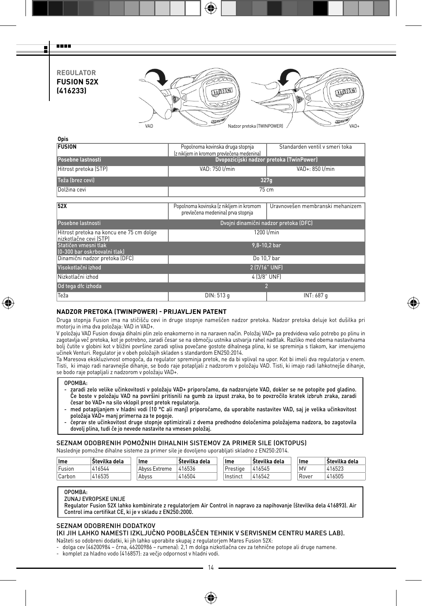**REGULATOR FUSION 52X (416233)**

man a Ŧ



| Opis                                                                |                                                                               |                                       |  |  |  |  |  |
|---------------------------------------------------------------------|-------------------------------------------------------------------------------|---------------------------------------|--|--|--|--|--|
| <b>FUSION</b>                                                       | Popolnoma kovinska druga stopnja<br>(z nikljem in kromom prevlečena medenina) | Standarden ventil v smeri toka        |  |  |  |  |  |
| Posebne lastnosti                                                   | Dvopozicijski nadzor pretoka (TwinPower)                                      |                                       |  |  |  |  |  |
| Hitrost pretoka (STP)                                               | VAD: 750 I/min                                                                | VAD+: 850 l/min                       |  |  |  |  |  |
| Teža (brez cevi)                                                    |                                                                               | 327q                                  |  |  |  |  |  |
| Dolžina cevi                                                        | $75 \text{ cm}$                                                               |                                       |  |  |  |  |  |
|                                                                     |                                                                               |                                       |  |  |  |  |  |
| <b>52X</b>                                                          | Popolnoma kovinska (z nikljem in kromom<br>prevlečena medenina) prva stopnja  | Uravnovešen membranski mehanizem      |  |  |  |  |  |
| Posebne lastnosti                                                   |                                                                               | Dvojni dinamični nadzor pretoka (DFC) |  |  |  |  |  |
| Hitrost pretoka na koncu ene 75 cm dolge<br>Inizkotlačne cevi (STP) |                                                                               | 1200 l/min                            |  |  |  |  |  |
| Statičen vmesni tlak<br>[0-300 bar oskrbovalni tlak]                |                                                                               | $9,8-10,2$ bar                        |  |  |  |  |  |
| Dinamični nadzor pretoka (DFC)                                      |                                                                               | Do 10,7 bar                           |  |  |  |  |  |
| Visokotlačni izhod                                                  | 2 (7/16" UNF)                                                                 |                                       |  |  |  |  |  |
| Nizkotlačni izhod                                                   | 4 (3/8" UNF)                                                                  |                                       |  |  |  |  |  |
| Od tega dfc izhoda                                                  |                                                                               | $\overline{2}$                        |  |  |  |  |  |
| Teža                                                                | DIN: 513 g<br>INT: 687 g                                                      |                                       |  |  |  |  |  |
|                                                                     |                                                                               |                                       |  |  |  |  |  |

### **NADZOR PRETOKA (TWINPOWER) - PRIJAVLJEN PATENT**

Druga stopnja Fusion ima na stičišču cevi in druge stopnje nameščen nadzor pretoka. Nadzor pretoka deluje kot dušilka pri motorju in ima dva položaja: VAD in VAD+.

⊕

V položaju VAD Fusion dovaja dihalni plin zelo enakomerno in na naraven način. Položaj VAD+ pa predvideva vašo potrebo po plinu in zagotavlja več pretoka, kot je potrebno, zaradi česar se na območju ustnika ustvarja rahel nadtlak. Razliko med obema nastavitvama bolj čutite v globini kot v bližini površine zaradi vpliva povečane gostote dihalnega plina, ki se spreminja s tlakom, kar imenujemo učinek Venturi. Regulator je v obeh položajih skladen s standardom EN250:2014.

Ta Maresova ekskluzivnost omogoča, da regulator spreminja pretok, ne da bi vplival na upor. Kot bi imeli dva regulatorja v enem. Tisti, ki imajo radi naravnejše dihanje, se bodo raje potapljali z nadzorom v položaju VAD. Tisti, ki imajo radi lahkotnejše dihanje, se bodo raje potapljali z nadzorom v položaju VAD+.

### OPOMBA:

⊕

- zaradi zelo velike učinkovitosti v položaju VAD+ priporočamo, da nadzorujete VAD, dokler se ne potopite pod gladino. Če boste v položaju VAD na površini pritisnili na gumb za izpust zraka, bo to povzročilo kratek izbruh zraka, zaradi česar bo VAD+ na silo vklopil prost pretok regulatorja.
- med potapljanjem v hladni vodi (10 °C ali manj) priporočamo, da uporabite nastavitev VAD, saj je velika učinkovitost položaja VAD+ manj primerna za te pogoje.
- čeprav ste učinkovitost druge stopnje optimizirali z dvema predhodno določenima položajema nadzora, bo zagotovila dovolj plina, tudi če jo nevede nastavite na vmesen položaj.

SEZNAM ODOBRENIH POMOŽNIH DIHALNIH SISTEMOV ZA PRIMER SILE (OKTOPUS)

Naslednje pomožne dihalne sisteme za primer sile je dovoljeno uporabljati skladno z EN250:2014.

| Ime    | Stevilka dela | Ime           | Stevilka dela | Ime      | Številka dela | Ime   | Številka dela |
|--------|---------------|---------------|---------------|----------|---------------|-------|---------------|
| Fusion | 416544        | Abyss Extreme | 416536        | Prestige | 416545        | MV    | 416523        |
| Carbon | 416535        | Abvss         | 416504        | Instinct | 416542        | Rover | 416505        |

# OPOMBA:

ZUNAJ EVROPSKE UNIJE

Regulator Fusion 52X lahko kombinirate z regulatorjem Air Control in napravo za napihovanje (številka dela 416893). Air Control ima certifikat CE, ki je v skladu z EN250:2000.

### SEZNAM ODOBRENIH DODATKOV

(KI JIH LAHKO NAMESTI IZKLJUČNO POOBLAŠČEN TEHNIK V SERVISNEM CENTRU MARES LAB).

- Našteti so odobreni dodatki, ki jih lahko uporabite skupaj z regulatorjem Mares Fusion 52X:
- dolga cev (46200984 črna, 46200986 rumena): 2,1 m dolga nizkotlačna cev za tehnične potope ali druge namene.
- komplet za hladno vodo (416857): za večjo odpornost v hladni vodi.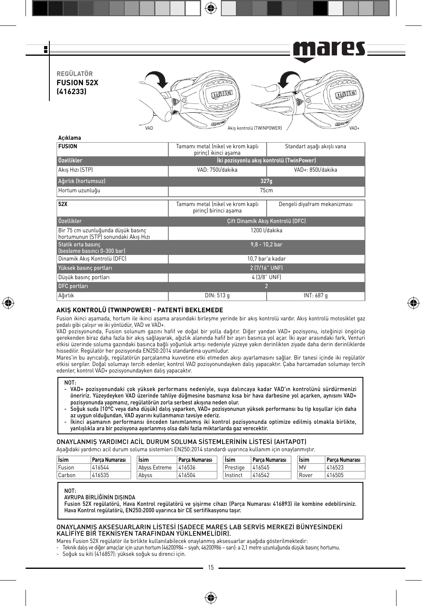

€

| ----------                                                                 |                                                            |                                  |  |  |  |  |  |  |
|----------------------------------------------------------------------------|------------------------------------------------------------|----------------------------------|--|--|--|--|--|--|
| <b>FUSION</b>                                                              | Tamamı metal (nikel ve krom kaplı<br>pirinc) ikinci asama  | Standart asağı akıslı vana       |  |  |  |  |  |  |
| Özellikler                                                                 | İki pozisyonlu akış kontrolü (TwinPower)                   |                                  |  |  |  |  |  |  |
| Akıs Hızı (STP)                                                            | VAD: 750l/dakika                                           | VAD+: 850l/dakika                |  |  |  |  |  |  |
| Ağırlık (hortumsuz)                                                        |                                                            | 327q                             |  |  |  |  |  |  |
| Hortum uzunluğu                                                            | 75cm                                                       |                                  |  |  |  |  |  |  |
| 52X                                                                        | Tamamı metal (nikel ve krom kaplı<br>pirinc) birinci asama | Dengeli diyafram mekanizması     |  |  |  |  |  |  |
| Özellikler                                                                 |                                                            | Cift Dinamik Akıs Kontrolü (DFC) |  |  |  |  |  |  |
| Bir 75 cm uzunluğunda düsük basınc<br>hortumunun (STP) sonundaki Akıs Hızı |                                                            | 1200 I/dakika                    |  |  |  |  |  |  |
| Statik orta basınc<br>(besleme basıncı 0-300 bar)                          |                                                            | $9.8 - 10.2$ bar                 |  |  |  |  |  |  |
| Dinamik Akıs Kontrolü (DFC)                                                |                                                            | 10.7 bar'a kadar                 |  |  |  |  |  |  |
| Yüksek basınc portları                                                     | 2 (7/16" UNF)                                              |                                  |  |  |  |  |  |  |
| Düsük basınc portları                                                      | 4 (3/8" UNF)                                               |                                  |  |  |  |  |  |  |
| <b>DFC</b> portları                                                        | $\overline{2}$                                             |                                  |  |  |  |  |  |  |
| Ağırlık                                                                    | DIN: 513 g<br>INT: 687 g                                   |                                  |  |  |  |  |  |  |

# **AKIŞ KONTROLÜ (TWINPOWER) - PATENTİ BEKLEMEDE**

Fusion ikinci aşamada, hortum ile ikinci aşama arasındaki birleşme yerinde bir akış kontrolü vardır. Akış kontrolü motosiklet gaz pedalı gibi çalışır ve iki yönlüdür, VAD ve VAD+.

⊕

VAD pozisyonunda, Fusion solunum gazını hafif ve doğal bir yolla dağıtır. Diğer yandan VAD+ pozisyonu, isteğinizi öngörüp gerekenden biraz daha fazla bir akış sağlayarak, ağızlık alanında hafif bir aşırı basınca yol açar. İki ayar arasındaki fark, Venturi etkisi üzerinde soluma gazındaki basınca bağlı yoğunluk artışı nedeniyle yüzeye yakın derinlikten ziyade daha derin derinliklerde<br>hissedilir. Regülatör her pozisyonda EN250:2014 standardına uyumludur.

Mares'in bu ayrıcalığı, regülatörün parçalanma kuvvetine etki etmeden akışı ayarlamasını sağlar. Bir tanesi içinde iki regülatör etkisi sergiler. Doğal solumayı tercih edenler, kontrol VAD pozisyonundayken dalış yapacaktır. Çaba harcamadan solumayı tercih edenler, kontrol VAD+ pozisyonundayken dalış yapacaktır.

⊕

- VAD+ pozisyonundaki çok yüksek performans nedeniyle, suya dalıncaya kadar VAD'ın kontrolünü sürdürmenizi öneririz. Yüzeydeyken VAD üzerinde tahliye düğmesine basmanız kısa bir hava darbesine yol açarken, aynısını VAD+ pozisyonunda yapmanız, regülatörün zorla serbest akışına neden olur.
- Soğuk suda (10°C veya daha düşük) dalış yaparken, VAD+ pozisyonunun yüksek performansı bu tip koşullar için daha az uygun olduğundan, VAD ayarını kullanmanızı tavsiye ederiz.
- İkinci aşamanın performansı önceden tanımlanmış iki kontrol pozisyonunda optimize edilmiş olmakla birlikte, yanlışlıkla ara bir pozisyona ayarlanmış olsa dahi fazla miktarlarda gaz verecektir.

# ONAYLANMIŞ YARDIMCI ACİL DURUM SOLUMA SİSTEMLERİNİN LİSTESİ (AHTAPOT)

Aşağıdaki yardımcı acil durum soluma sistemleri EN250:2014 standardı uyarınca kullanım için onaylanmıştır.

| <b>Isim</b> | Parca Numarası | <b>Isim</b>   | Parca Numarası | <b>Isim</b> | Parca Numarası | <b>Isim</b> | Parca Numarası |
|-------------|----------------|---------------|----------------|-------------|----------------|-------------|----------------|
| Fusion      | 416544         | Abyss Extreme | 416536         | Prestige    | 416545         | MV          | 416523         |
| Carbon      | 416535         | Abvss         | 416504         | Instinct    | 416542         | Rover       | 16505          |

NOT:

AVRUPA BİRLİĞİNİN DIŞINDA

Fusion 52X regülatörü, Hava Kontrol regülatörü ve şişirme cihazı (Parça Numarası 416893) ile kombine edebilirsiniz. Hava Kontrol regülatörü, EN250:2000 uyarınca bir CE sertifikasyonu taşır.

### ONAYLANMIŞ AKSESUARLARIN LİSTESİ (SADECE MARES LAB SERVİS MERKEZİ BÜNYESİNDEKİ KALİFİYE BİR TEKNİSYEN TARAFINDAN YÜKLENMELİDİR).

Mares Fusion 52X regülatör ile birlikte kullanılabilecek onaylanmış aksesuarlar aşağıda gösterilmektedir:

- Teknik dalış ve diğer amaçlar için uzun hortum (46200984 – siyah, 46200986 – sarı): a 2,1 metre uzunluğunda düşük basınç hortumu.

- Soğuk su kiti (416857): yüksek soğuk su direnci için.

NOT: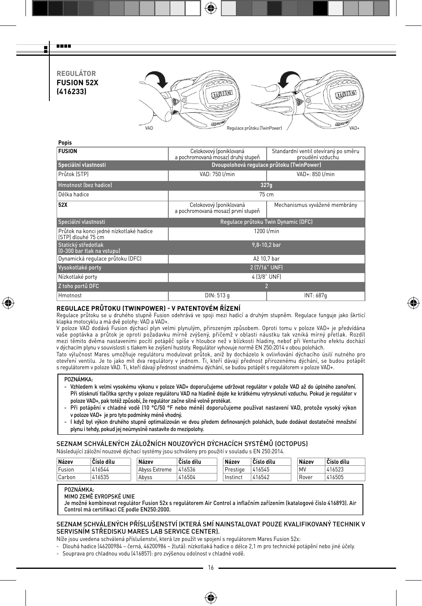# **REGULÁTOR FUSION 52X (416233)**



### **Popis**

man a Ŧ

| <b>FUSION</b>                                                 | Celokovový (poniklovaná<br>Standardní ventil otevíraný po směru<br>a pochromovaná mosaz) druhý stupeň<br>proudění vzduchu |                               |  |  |  |  |  |  |
|---------------------------------------------------------------|---------------------------------------------------------------------------------------------------------------------------|-------------------------------|--|--|--|--|--|--|
| Speciální vlastnosti                                          | Dvoupolohová regulace průtoku (TwinPower)                                                                                 |                               |  |  |  |  |  |  |
| Průtok (STP)                                                  | VAD: 750 U/min<br>VAD+: 850 l/min                                                                                         |                               |  |  |  |  |  |  |
| Hmotnost (bez hadice)                                         | 327q                                                                                                                      |                               |  |  |  |  |  |  |
| Délka hadice                                                  |                                                                                                                           | 75 cm                         |  |  |  |  |  |  |
| 52X                                                           | Celokovový (poniklovaná<br>a pochromovaná mosaz) první stupeň                                                             | Mechanismus vyvážené membrány |  |  |  |  |  |  |
| Speciální vlastnosti                                          | Regulace průtoku Twin Dynamic (DFC)                                                                                       |                               |  |  |  |  |  |  |
| Průtok na konci jedné nízkotlaké hadice<br>[STP] dlouhé 75 cm |                                                                                                                           | 1200 l/min                    |  |  |  |  |  |  |
| Statický středotlak<br>(0-300 bar tlak na vstupu)             |                                                                                                                           | 9.8-10.2 bar                  |  |  |  |  |  |  |
| Dynamická regulace průtoku (DFC)                              |                                                                                                                           | Až 10,7 bar                   |  |  |  |  |  |  |
| Vysokotlaké porty                                             |                                                                                                                           | 2 (7/16" UNF)                 |  |  |  |  |  |  |
| Nízkotlaké porty                                              | 4 (3/8" UNF)                                                                                                              |                               |  |  |  |  |  |  |
| Z toho portů DFC                                              |                                                                                                                           | $\overline{2}$                |  |  |  |  |  |  |
| Hmotnost                                                      | DIN: 513 g<br>INT: 687q                                                                                                   |                               |  |  |  |  |  |  |
|                                                               |                                                                                                                           |                               |  |  |  |  |  |  |

# **REGULACE PRŮTOKU (TWINPOWER) - V PATENTOVÉM ŘÍZENÍ**

Regulace průtoku se u druhého stupně Fusion odehrává ve spoji mezi hadicí a druhým stupněm. Regulace funguje jako škrticí klapka motocyklu a má dvě polohy: VAD a VAD+.

⊕

V poloze VAD dodává Fusion dýchací plyn velmi plynulým, přirozeným způsobem. Oproti tomu v poloze VAD+ je předvídána vaše poptávka a průtok je oproti požadavku mírně zvýšený, přičemž v oblasti náustku tak vzniká mírný přetlak. Rozdíl mezi těmito dvěma nastaveními pocítí potápěč spíše v hloubce než v blízkosti hladiny, neboť při Venturiho efektu dochází v dýchacím plynu v souvislosti s tlakem ke zvýšení hustoty. Regulátor vyhovuje normě EN 250:2014 v obou polohách.

Tato výlučnost Mares umožňuje regulátoru modulovat průtok, aniž by docházelo k ovlivňování dýchacího úsilí nutného pro otevření ventilu. Je to jako mít dva regulátory v jednom. Ti, kteří dávají přednost přirozenému dýchání, se budou potápět s regulátorem v poloze VAD. Ti, kteří dávají přednost snadnému dýchání, se budou potápět s regulátorem v poloze VAD+.

### POZNÁMKA:

⊕

- Vzhledem k velmi vysokému výkonu v poloze VAD+ doporučujeme udržovat regulátor v polože VAD až do úplného zanoření. Při stisknutí tlačítka sprchy v poloze regulátoru VAD na hladině dojde ke krátkému vytrysknutí vzduchu. Pokud je regulátor v poloze VAD+, pak totéž způsobí, že regulátor začne silně volně protékat.
- Při potápění v chladné vodě (10 °C/50 °F nebo méně) doporučujeme používat nastavení VAD, protože vysoký výkon v poloze VAD+ je pro tyto podmínky méně vhodný.
- I když byl výkon druhého stupně optimalizován ve dvou předem definovaných polohách, bude dodávat dostatečné množství plynu i tehdy, pokud jej neúmyslně nastavíte do mezipolohy.

# SEZNAM SCHVÁLENÝCH ZÁLOŽNÍCH NOUZOVÝCH DÝCHACÍCH SYSTÉMŮ (OCTOPUS)

Následující záložní nouzové dýchací systémy jsou schváleny pro použití v souladu s EN 250:2014.

| Název  | Číslo dílu | Název         | Číslo dílu | Název    | Číslo dílu | Název | Číslo dílu |
|--------|------------|---------------|------------|----------|------------|-------|------------|
| Fusion | 416544     | Abvss Extreme | 416536     | Prestige | 416545     | MV    | 416523     |
| Carbon | 416535     | Abvss         | 416504     | Instinct | 416542     | Rover | 416505     |

#### POZNÁMKA:

MIMO ZEMĚ EVROPSKÉ UNIE

Je možné kombinovat regulátor Fusion 52x s regulátorem Air Control a inflačním zařízením (katalogové číslo 416893). Air Control má certifikaci CE podle EN250:2000.

# SEZNAM SCHVÁLENÝCH PŘÍSLUŠENSTVÍ (KTERÁ SMÍ NAINSTALOVAT POUZE KVALIFIKOVANÝ TECHNIK V SERVISNÍM STŘEDISKU MARES LAB SERVICE CENTER).

Níže jsou uvedena schválená příslušenství, která lze použít ve spojení s regulátorem Mares Fusion 52x:

- Dlouhá hadice (46200984 černá, 46200986 žlutá): nízkotlaká hadice o délce 2,1 m pro technické potápění nebo jiné účely. - Souprava pro chladnou vodu (416857): pro zvýšenou odolnost v chladné vodě.
	-

16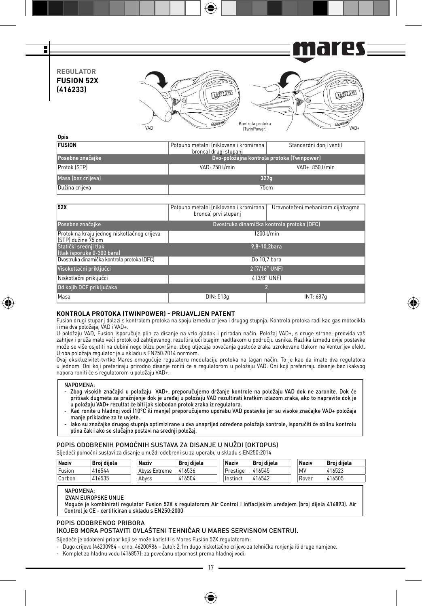

€

| <b>FUSION</b>      | l Potpuno metalni Iniklovana i kromirana l<br>bronca) drugi stupanj | Standardni donji ventil |  |  |  |  |  |
|--------------------|---------------------------------------------------------------------|-------------------------|--|--|--|--|--|
| Posebne značajke   | Dvo-položajna kontrola protoka (Twinpower)                          |                         |  |  |  |  |  |
| Protok (STP)       | VAD: 750 I/min                                                      | VAD+: 850 l/min         |  |  |  |  |  |
| Masa (bez crijeva) | 327 <sub>a</sub>                                                    |                         |  |  |  |  |  |
| Dužina crijeva     | 75cm                                                                |                         |  |  |  |  |  |

| 52X                                                               | Potpuno metalni (niklovana i kromirana<br>bronca) prvi stupanj | Uravnoteženi mehanizam dijafragme          |  |  |  |  |  |
|-------------------------------------------------------------------|----------------------------------------------------------------|--------------------------------------------|--|--|--|--|--|
| Posebne značajke                                                  |                                                                | Dvostruka dinamička kontrola protoka (DFC) |  |  |  |  |  |
| Protok na kraju jednog niskotlačnog crijeva<br>ISTPI dužine 75 cm |                                                                | 1200 l/min                                 |  |  |  |  |  |
| Statički srednji tlak<br>Itlak isporuke 0-300 baral               | 9.8-10.2bara                                                   |                                            |  |  |  |  |  |
| Dvostruka dinamička kontrola protoka (DFC)                        |                                                                | Do 10.7 bara                               |  |  |  |  |  |
| Visokotlačni priključci                                           |                                                                | 2 (7/16" UNF)                              |  |  |  |  |  |
| Niskotlačni priključci                                            | 4 (3/8" UNF)                                                   |                                            |  |  |  |  |  |
| Od kojih DCF priključaka                                          | 2                                                              |                                            |  |  |  |  |  |
| Masa                                                              | DIN: 513q<br>INT: 687q                                         |                                            |  |  |  |  |  |

# **KONTROLA PROTOKA (TWINPOWER) - PRIJAVLJEN PATENT**

Fusion drugi stupanj dolazi s kontrolom protoka na spoju između crijeva i drugog stupnja. Kontrola protoka radi kao gas motocikla i ima dva položaja, VAD i VAD+.

⊕

U položaju VAD, Fusion isporučuje plin za disanje na vrlo gladak i prirodan način. Položaj VAD+, s druge strane, predviđa vaš zahtjev i pruža malo veći protok od zahtijevanog, rezultirajući blagim nadtlakom u području usnika. Razlika između dvije postavke može se više osjetiti na dubini nego blizu površine, zbog utjecaja povećanja gustoće zraka uzrokovane tlakom na Venturijev efekt. U oba položaja regulator je u skladu s EN250:2014 normom.

Ovaj ekskluzivitet tvrtke Mares omogućuje regulatoru modulaciju protoka na lagan način. To je kao da imate dva regulatora u jednom. Oni koji preferiraju prirodno disanje roniti će s regulatorom u položaju VAD. Oni koji preferiraju disanje bez ikakvog napora roniti će s regulatorom u položaju VAD+.

#### NAPOMENA:

⊕

- Zbog visokih značajki u položaju VAD+, preporučujemo držanje kontrole na položaju VAD dok ne zaronite. Dok će pritisak dugmeta za pražnjenje dok je uređaj u položaju VAD rezultirati kratkim izlazom zraka, ako to napravite dok je u položaju VAD+ rezultat će biti jak slobodan protok zraka iz regulatora.

- Kad ronite u hladnoj vodi (10°C ili manje) preporučujemo uporabu VAD postavke jer su visoke značajke VAD+ položaja manje prikladne za te uvjete.

- Iako su značajke drugog stupnja optimizirane u dva unaprijed određena položaja kontrole, isporučiti će obilnu kontrolu plina čak i ako se slučajno postavi na srednji položaj.

# POPIS ODOBRENIH POMOĆNIH SUSTAVA ZA DISANJE U NUŽDI (OKTOPUS)

Sljedeći pomoćni sustavi za disanje u nuždi odobreni su za uporabu u skladu s EN250:2014

| <b>Naziv</b> | Broi diiela | <b>Naziv</b>  | Broi diiela | <b>Naziv</b> | Broi diiela | Naziv | Broi diiela |
|--------------|-------------|---------------|-------------|--------------|-------------|-------|-------------|
| Fusion       | 416544      | Abvss Extreme | 416536      | Prestige     | 416545      | MV    | 416523      |
| Carbon       | 416535      | Abvss         | 416504      | i Instinct   | 416542      | Rover | 416505      |

### NAPOMENA:

IZVAN EUROPSKE UNIJE

Moguće je kombinirati regulator Fusion 52X s regulatorom Air Control i inflacijskim uređajem (broj dijela 416893). Air Control je CE - certificiran u skladu s EN250:2000

### POPIS ODOBRENOG PRIBORA (KOJEG MORA POSTAVITI OVLAŠTENI TEHNIČAR U MARES SERVISNOM CENTRU).

Sljedeće je odobreni pribor koji se može koristiti s Mares Fusion 52X regulatorom:

- 
- Dugo crijevo (46200984 crno, 46200986 žuto): 2,1m dugo niskotlačno crijevo za tehnička ronjenja ili druge namjene.
- Komplet za hladnu vodu (416857): za povećanu otpornost prema hladnoj vodi.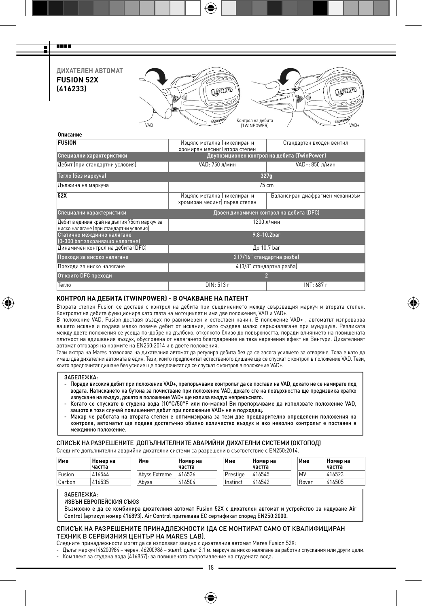Ŧ

man m

**ДИХАТЕЛЕН АВТОМАТ FUSION 52X (416233)**



| Описание                                                                                |                                                              |                                 |  |  |  |  |  |  |
|-----------------------------------------------------------------------------------------|--------------------------------------------------------------|---------------------------------|--|--|--|--|--|--|
| <b>FUSION</b>                                                                           | Изцяло метална (никелиран и<br>хромиран месинг) втора степен | Стандартен входен вентил        |  |  |  |  |  |  |
| Специални характеристики                                                                | Двупозиционен контрол на дебита (TwinPower)                  |                                 |  |  |  |  |  |  |
| Дебит (при стандартни условия)                                                          | VAD: 750 л/мин                                               | VAD+: 850 л/мин                 |  |  |  |  |  |  |
| Тегло (без маркуча)                                                                     |                                                              | 327q                            |  |  |  |  |  |  |
| Дължина на маркуча                                                                      |                                                              | $75 \text{ cm}$                 |  |  |  |  |  |  |
| $\overline{52X}$                                                                        | Изцяло метална (никелиран и<br>хромиран месинг) първа степен | Балансиран диафрагмен механизъм |  |  |  |  |  |  |
| Специални характеристики                                                                | Двоен динамичен контрол на дебита (DFC)                      |                                 |  |  |  |  |  |  |
| Дебит в единия край на дългия 75cm маркуч за<br>ниско налягане (при стандартни условия) |                                                              | 1200 л/мин                      |  |  |  |  |  |  |
| Статично междинно налягане<br>(0-300 bar захранващо налягане)                           |                                                              | 9.8-10.2bar                     |  |  |  |  |  |  |
| Динамичен контрол на дебита (DFC)                                                       |                                                              | До 10.7 bar                     |  |  |  |  |  |  |
| Преходи за високо налягане                                                              | 2 (7/16" стандартна резба)                                   |                                 |  |  |  |  |  |  |
| Преходи за ниско налягане                                                               | 4 (3/8" стандартна резба)                                    |                                 |  |  |  |  |  |  |
| От които DFC преходи                                                                    |                                                              | $\overline{\phantom{a}}$        |  |  |  |  |  |  |
| Тегло                                                                                   | DIN: 513 r                                                   | INT: 687 r                      |  |  |  |  |  |  |

### **КОНТРОЛ НА ДЕБИТА (TWINPOWER) - В ОЧАКВАНЕ НА ПАТЕНТ**

Втората степен Fusion се доставя с контрол на дебита при съединението между свързващия маркуч и втората степен. Контролът на дебита функционира като газта на мотоциклет и има две положения, VAD и VAD+.

⊕

В положение VAD, Fusion доставя въздух по равномерен и естествен начин. В положение VAD+ , автоматът изпреварва вашето искане и подава малко повече дебит от искания, като създава малко свръхналягане при мундщука. Разликата между двете положения се усеща по-добре на дълбоко, отколкото близо до повърхността, поради влиянието на повишената плътност на вдишвания въздух, обусловена от налягането благодарение на така наречения ефект на Вентури. Дихателният автомат отговаря на нормите на EN250:2014 и в двете положения.

Тази екстра на Mares позволява на дихателния автомат да регулира дебита без да се засяга усилието за отваряне. Това е като да имаш два дихателни автомата в един. Тези, които предпочитат естественото дишане ще се спускат с контрол в положение VAD. Тези, които предпочитат дишане без усилие ще предпочитат да се спускат с контрол в положение VAD+.

#### ЗАБЕЛЕЖКА:

⊕

- Поради високия дебит при положение VAD+, препоръчваме контролът да се постави на VAD, докато не се намирате под водата. Натискането на бутона за почистване при положение VAD, докато сте на повърхността ще предизвика кратко изпускане на въздух, докато в положение VAD+ ще излиза въздух непрекъснато.
- Когато се спускате в студена вода (10°C/50°F или по-малко) Ви препоръчваме да използвате положение VAD, защото в този случай повишеният дебит при положение VAD+ не е подходящ.
- Макар че работата на втората степен е оптимизирана за тези две предварително определени положения на контрола, автоматът ще подава достатъчно обилно количество въздух и ако неволно контролът е поставен в междинно положение.

# СПИСЪК НА РАЗРЕШЕНИТЕ ДОПЪЛНИТЕЛНИТЕ АВАРИЙНИ ДИХАТЕЛНИ СИСТЕМИ (ОКТОПОД)

Следните допълнителни аварийни дихателни системи са разрешени в съответствие с EN250:2014.

| Име    | Номер на<br>частта | Име           | Номер на<br>частта | Име      | Номер на<br>частта | Име   | Номер на<br>частта |
|--------|--------------------|---------------|--------------------|----------|--------------------|-------|--------------------|
| Fusion | 416544             | Abyss Extreme | 416536             | Prestige | 416545             | MV    | 416523             |
| Carbon | 416535             | Abvss         | 416504             | Instinct | 416542             | Rover | 416505             |

#### ЗАБЕЛЕЖКА:

ИЗВЪН ЕВРОПЕЙСКИЯ СЪЮЗ

Възможно е да се комбинира дихателния автомат Fusion 52X с дихателен автомат и устройство за надуване Air Control (артикул номер 416893). Air Control притежава ЕС сертификат според EN250:2000.

### СПИСЪК НА РАЗРЕШЕНИТЕ ПРИНАДЛЕЖНОСТИ (ДА СЕ МОНТИРАТ САМО ОТ КВАЛИФИЦИРАН ТЕХНИК В СЕРВИЗНИЯ ЦЕНТЪР НА MARES LAB).

Следните принадлежности могат да се използват заедно с дихателния автомат Mares Fusion 52X:

- Дълъг маркуч (46200984 – черен, 46200986 – жълт): дълъг 2.1 м. маркуч за ниско налягане за работни спускания или други цели. - Комплект за студена вода (416857): за повишеното съпротивление на студената вода.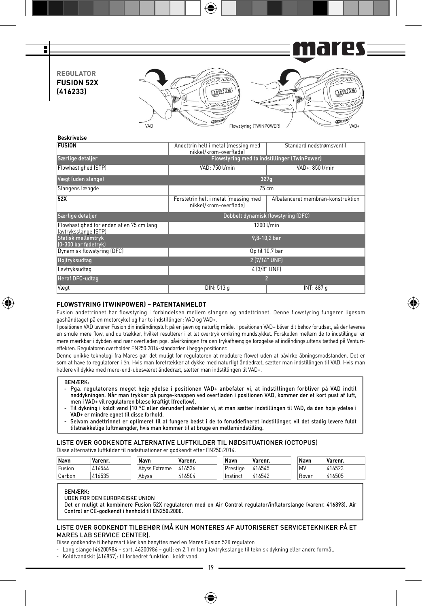25 = 1 F n I **REGULATOR FUSION 52X QUALITY LUTHER (416233)** VAD Flowstyring (TWINPOWER) / VAD-

| Beskrivelse                                                      |                                                                |                                   |  |  |  |  |
|------------------------------------------------------------------|----------------------------------------------------------------|-----------------------------------|--|--|--|--|
| <b>FUSION</b>                                                    | Andettrin helt i metal (messing med<br>nikkel/krom-overfladel  | Standard nedstrømsventil          |  |  |  |  |
| Særlige detaljer                                                 | <b>Flowstyring med to indstillinger (TwinPower)</b>            |                                   |  |  |  |  |
| Flowhastighed (STP)                                              | VAD: 750 l/min                                                 | VAD+: 850 l/min                   |  |  |  |  |
| Vægt (uden slange)                                               |                                                                | 327q                              |  |  |  |  |
| Slangens længde                                                  |                                                                | 75cm                              |  |  |  |  |
| 52X                                                              | Førstetrin helt i metal (messing med<br>nikkel/krom-overfladel | Afbalanceret membran-konstruktion |  |  |  |  |
| Særlige detaljer                                                 | Dobbelt dynamisk flowstyring (DFC)                             |                                   |  |  |  |  |
| Flowhastighed for enden af en 75 cm lang<br>lavtryksslange (STP) |                                                                | 1200 l/min                        |  |  |  |  |
| <b>Statisk mellemtryk</b><br>(0-300 bar fødetryk)                |                                                                | $9,8 - 10,2$ bar                  |  |  |  |  |
| Dynamisk flowstyring (DFC)                                       |                                                                | Op til 10,7 bar                   |  |  |  |  |
| Højtryksudtag                                                    | 2 (7/16" UNF)                                                  |                                   |  |  |  |  |
| Lavtryksudtag                                                    | 4 (3/8" UNF)                                                   |                                   |  |  |  |  |
| Heraf DFC-udtag                                                  |                                                                | 2                                 |  |  |  |  |
| Vægt                                                             | DIN: 513 g                                                     | INT: 687 g                        |  |  |  |  |

# **FLOWSTYRING (TWINPOWER) – PATENTANMELDT**

Fusion andettrinnet har flowstyring i forbindelsen mellem slangen og andettrinnet. Denne flowstyring fungerer ligesom gashåndtaget på en motorcykel og har to indstillinger: VAD og VAD+.

I positionen VAD leverer Fusion din indåndingsluft på en jævn og naturlig måde. I positionen VAD+ bliver dit behov forudset, så der leveres en smule mere flow, end du trækker, hvilket resulterer i et let overtryk omkring mundstykket. Forskellen mellem de to indstillinger er mere mærkbar i dybden end nær overfladen pga. påvirkningen fra den trykafhængige forøgelse af indåndingsluftens tæthed på Venturieffekten. Regulatoren overholder EN250:2014-standarden i begge positioner.

Denne unikke teknologi fra Mares gør det muligt for regulatoren at modulere flowet uden at påvirke åbningsmodstanden. Det er som at have to regulatorer i én. Hvis man foretrækker at dykke med naturligt åndedræt, sætter man indstillingen til VAD. Hvis man hellere vil dykke med mere-end-ubesværet åndedræt, sætter man indstillingen til VAD+.

### BEMÆRK:

⊕

- Pga. regulatorens meget høje ydelse i positionen VAD+ anbefaler vi, at indstillingen forbliver på VAD indtil neddykningen. Når man trykker på purge-knappen ved overfladen i positionen VAD, kommer der et kort pust af luft, men i VAD+ vil regulatoren blæse kraftigt (freeflow).
- Til dykning i koldt vand (10 °C eller derunder) anbefaler vi, at man sætter indstillingen til VAD, da den høje ydelse i VAD+ er mindre egnet til disse forhold.
- Selvom andettrinnet er optimeret til at fungere bedst i de to foruddefineret indstillinger, vil det stadig levere fuldt tilstrækkelige luftmængder, hvis man kommer til at bruge en mellemindstilling.

LISTE OVER GODKENDTE ALTERNATIVE LUFTKILDER TIL NØDSITUATIONER (OCTOPUS) Disse alternative luftkilder til nødsituationer er godkendt efter EN250:2014.

| Navn                | Varenr. | Navn          | Varenr. | Navn     | Varenr. | Navn  | 'Varenr. |
|---------------------|---------|---------------|---------|----------|---------|-------|----------|
| Fusion              | 416544  | Abyss Extreme | 416536  | Prestige | 416545  | MV    | 416523   |
| <sup>1</sup> Carbon | 416535  | Abvss         | 416504  | Instinct | 416542  | Rover | 416505   |

### BEMÆRK:

UDEN FOR DEN EUROPÆISKE UNION

Det er muligt at kombinere Fusion 52X regulatoren med en Air Control regulator/inflatorslange (varenr. 416893). Air Control er CE-godkendt i henhold til EN250:2000.

### LISTE OVER GODKENDT TILBEHØR (MÅ KUN MONTERES AF AUTORISERET SERVICETEKNIKER PÅ ET MARES LAB SERVICE CENTER).

Disse godkendte tilbehørsartikler kan benyttes med en Mares Fusion 52X regulator:

- Lang slange (46200984 – sort, 46200986 – gul): en 2,1 m lang lavtryksslange til teknisk dykning eller andre formål.

- Koldtvandskit (416857): til forbedret funktion i koldt vand.

⊕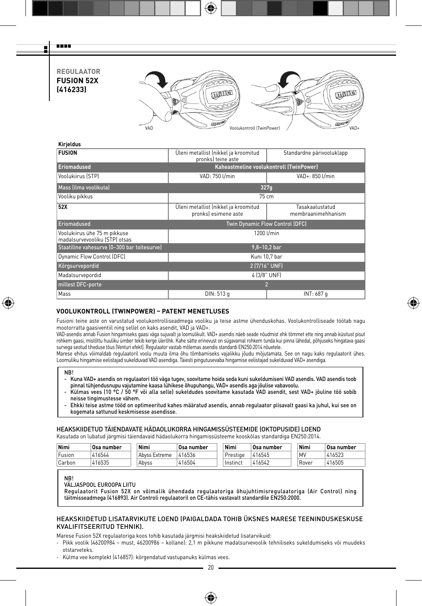**REGULAATOR FUSION 52X (416233)**

man m Ŧ



⊕

# **Kirjeldus**

| <b>FUSION</b>                                                 | Üleni metallist (nikkel ja kroomitud<br>pronks) teine aste   | Standardne pärivooluklapp             |  |  |  |  |  |
|---------------------------------------------------------------|--------------------------------------------------------------|---------------------------------------|--|--|--|--|--|
| <b>Eriomadused</b>                                            | Kaheastmeline voolukontroll (TwinPower)                      |                                       |  |  |  |  |  |
| Voolukiirus (STP)                                             | VAD: 750 I/min                                               | VAD+: 850 l/min                       |  |  |  |  |  |
| Mass (ilma voolikuta)                                         | 327q                                                         |                                       |  |  |  |  |  |
| Vooliku pikkus                                                | 75 cm                                                        |                                       |  |  |  |  |  |
| 52X                                                           | Üleni metallist (nikkel ja kroomitud<br>pronks) esimene aste | Tasakaalustatud<br>membraanimehhanism |  |  |  |  |  |
| Eriomadused                                                   | Twin Dynamic Flow Control (DFC)                              |                                       |  |  |  |  |  |
| Voolukiirus ühe 75 m pikkuse<br>madalsurvevooliku (STP) otsas | 1200 l/min                                                   |                                       |  |  |  |  |  |
| Staatiline vahesurve (0-300 bar toitesurve)                   | $9,8 - 10,2$ bar                                             |                                       |  |  |  |  |  |
| Dynamic Flow Control (DFC)                                    | Kuni 10.7 bar                                                |                                       |  |  |  |  |  |
| Kõrgsurvepordid                                               | 2 (7/16" UNF)                                                |                                       |  |  |  |  |  |
| Madalsurvepordid                                              | 4 (3/8" UNF)                                                 |                                       |  |  |  |  |  |
| millest DFC-porte                                             |                                                              | $\overline{2}$                        |  |  |  |  |  |
| Mass                                                          | DIN: 513 g                                                   | INT: 687 g                            |  |  |  |  |  |
|                                                               |                                                              |                                       |  |  |  |  |  |

⊕

# **VOOLUKONTROLL (TWINPOWER) – PATENT MENETLUSES**

Fusioni teine aste on varustatud voolukontrolliseadmega vooliku ja teise astme ühenduskohas. Voolukontrolliseade töötab nagu mootorratta gaasiventiil ning sellel on kaks asendit, VAD ja VAD+.

VAD-asendis annab Fusion hingamiseks gaasi väga sujuvalt ja loomulikult. VAD+ asendis näeb seade nõudmist ehk tõmmet ette ning annab küsitust pisut rohkem gaasi, mistõttu huuliku ümber tekib kerge ülerõhk. Kahe sätte erinevust on sügavamal rohkem tunda kui pinna lähedal, põhjuseks hingatava gaasi survega seotud tiheduse tõus (Venturi efekt). Regulaator vastab mõlemas asendis standardi EN250:2014 nõuetele.

Marese ehitus võimaldab regulaatoril voolu muuta ilma õhu tõmbamiseks vajalikku jõudu mõjutamata. See on nagu kaks regulaatorit ühes. Loomuliku hingamise eelistajad sukelduvad VAD asendiga. Täiesti pingutusevaba hingamise eelistajad sukelduvad VAD+ asendiga.

⊕

- Kuna VAD+ asendis on regulaatori töö väga tugev, soovitame hoida seda kuni sukeldumiseni VAD asendis. VAD asendis toob pinnal tühjendusnupu vajutamine kaasa lühikese õhupuhangu, VAD+ asendis aga jõulise vabavoolu.
- Külmas vees (10 °C / 50 °F või alla selle) sukeldudes soovitame kasutada VAD asendit, sest VAD+ jõuline töö sobib neisse tingimustesse vähem.
- Ehkki teise astme tööd on optimeeritud kahes määratud asendis, annab regulaator piisavalt gaasi ka juhul, kui see on kogemata sattunud keskmisesse asendisse.

# HEAKSKIIDETUD TÄIENDAVATE HÄDAOLUKORRA HINGAMISSÜSTEEMIDE (OKTOPUSIDE) LOEND

Kasutada on lubatud järgmisi täiendavaid hädaolukorra hingamissüsteeme kooskõlas standardiga EN250:2014.

| Nimi   | <b>Osa number</b> | Nimi          | <b>Osa number</b> | Nimi     | <b>Osa number</b> | Nimi  | Osa number |
|--------|-------------------|---------------|-------------------|----------|-------------------|-------|------------|
| Fusion | 416544            | Abyss Extreme | 416536            | Prestige | 416545            | MV    | 416523     |
| Carbon | 416535            | Abvss         | 416504            | Instinct | 416542            | Rover | 416505     |

NB!

VÄLJASPOOL EUROOPA LIITU

Regulaatorit Fusion 52X on võimalik ühendada regulaatoriga õhujuhtimisregulaatoriga (Air Control) ning täitmisseadmega (416893). Air Controli regulaatoril on CE-tähis vastavalt standardile EN250:2000.

### HEAKSKIIDETUD LISATARVIKUTE LOEND (PAIGALDADA TOHIB ÜKSNES MARESE TEENINDUSKESKUSE KVALIFITSEERITUD TEHNIK).

Marese Fusion 52X regulaatoriga koos tohib kasutada järgmisi heakskiidetud lisatarvikuid:

- Pikk voolik (46200984 must, 46200986 kollane): 2,1 m pikkune madalsurvevoolik tehniliseks sukeldumiseks või muudeks otstarveteks.
- Külma vee komplekt (416857): kõrgendatud vastupanuks külmas vees.

◈

NB!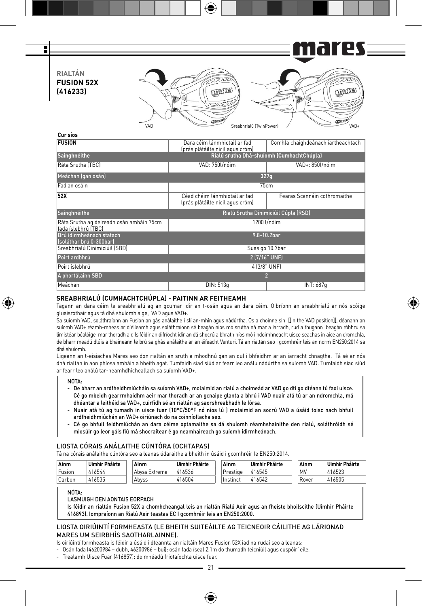F n I **RIALTÁN FUSION 52X COLLES Change (416233)** VAD Sreabhrialú (TwinPower) / VAD-**Cur síos**

| <b>FUSION</b>                                                   | Dara céim lánmhiotail ar fad<br>(prás plátáilte nicil agus cróm)  | Comhla chaighdeánach iartheachtach |  |  |  |  |  |
|-----------------------------------------------------------------|-------------------------------------------------------------------|------------------------------------|--|--|--|--|--|
| Sainghnéithe                                                    | Rialú srutha Dhá-shuíomh (CumhachtChúpla)                         |                                    |  |  |  |  |  |
| Ráta Srutha (TBC)                                               | VAD: 750Vnóim                                                     | VAD+: 850l/nóim                    |  |  |  |  |  |
| Meáchan (gan osán)                                              |                                                                   | 327q                               |  |  |  |  |  |
| Fad an osáin                                                    |                                                                   | 75cm                               |  |  |  |  |  |
| 52X                                                             | Céad chéim lánmhiotail ar fad<br>(prás plátáilte nicil agus cróm) | Fearas Scannáin cothromaithe       |  |  |  |  |  |
| Sainghnéithe                                                    | Rialú Srutha Dinimiciúil Cúpla (RSD)                              |                                    |  |  |  |  |  |
| Ráta Srutha ag deireadh osán amháin 75cm<br>fada íslebhrú (TBC) |                                                                   | 1200 l/nóim                        |  |  |  |  |  |
| Brú idirmheánach statach<br>Ísoláthar brú 0-300barl             |                                                                   | 9.8-10.2bar                        |  |  |  |  |  |
| Sreabhrialú Dinimiciúil (SBD)                                   |                                                                   | Suas go 10.7bar                    |  |  |  |  |  |
| Poirt ardbhrú                                                   | 2 (7/16" UNF)                                                     |                                    |  |  |  |  |  |
| Poirt íslebhrú                                                  | 4 (3/8" UNF)                                                      |                                    |  |  |  |  |  |
| A phortálainn SBD                                               |                                                                   |                                    |  |  |  |  |  |
| Meáchan                                                         | DIN: 513q                                                         | INT: 687q                          |  |  |  |  |  |

### **SREABHRIALÚ (CUMHACHTCHÚPLA) - PAITINN AR FEITHEAMH**

Tagann an dara céim le sreabhrialú ag an gcumar idir an t-osán agus an dara céim. Oibríonn an sreabhrialú ar nós scóige gluaisrothair agus tá dhá shuíomh aige, VAD agus VAD+.

⊕

Sa suíomh VAD, soláthraíonn an Fusion an gás análaithe i slí an-mhín agus nádúrtha. Os a choinne sin [[In the VAD position]], déanann an suíomh VAD+ réamh-mheas ar d'éileamh agus soláthraíonn sé beagán níos mó srutha ná mar a iarradh, rud a thugann beagán róbhrú sa limistéar béalóige mar thoradh air. Is féidir an difríocht idir an dá shocrú a bhrath níos mó i ndoimhneacht uisce seachas in aice an dromchla, de bharr meadú dlúis a bhaineann le brú sa ghás análaithe ar an éifeacht Venturi. Tá an rialtán seo i gcomhréir leis an norm EN250:2014 sa dhá shuíomh.

Ligeann an t-eisiachas Mares seo don rialtán an sruth a mhodhnú gan an dul i bhfeidhm ar an iarracht chnagtha. Tá sé ar nós dhá rialtán in aon phíosa amháin a bheith agat. Tumfaidh siad siúd ar fearr leo análú nádúrtha sa suíomh VAD. Tumfaidh siad siúd ar fearr leo análú tar-neamhdhícheallach sa suíomh VAD+.

### NÓTA:

⊕

- De bharr an ardfheidhmiúcháin sa suíomh VAD+, molaimid an rialú a choimeád ar VAD go dtí go dtéann tú faoi uisce. Cé go mbeidh gearrmhaidhm aeir mar thoradh ar an gcnaipe glanta a bhrú i VAD nuair atá tú ar an ndromchla, má dhéantar a leithéid sa VAD+, cuirfidh sé an rialtán ag saorshreabhadh le fórsa.
- Nuair atá tú ag tumadh in uisce fuar (10°C/50°F nó níos lú ) molaimid an socrú VAD a úsáid toisc nach bhfuil ardfheidhmiúchán an VAD+ oiriúnach do na coinníollacha seo.
- Cé go bhfuil feidhmiúchán an dara céime optamaithe sa dá shuíomh réamhshainithe den rialú, soláthróidh sé miosúir go leor gáis fiú má shocraítear é go neamhaireach go suíomh idirmheánach.

### LIOSTA CÓRAIS ANÁLAITHE CÚNTÓRA (OCHTAPAS)

Tá na córais análaithe cúntóra seo a leanas údaraithe a bheith in úsáid i gcomhréir le EN250:2014.

| Ainm   | Uimhir Pháirte | Ainm          | <b>Uimhir Pháirte</b> | Ainm     | <b>Uimhir Pháirte</b> | Ainm  | <b>Uimhir Pháirte</b> |
|--------|----------------|---------------|-----------------------|----------|-----------------------|-------|-----------------------|
| Fusion | 416544         | Abyss Extreme | 416536                | Prestige | 416545                | MV    | 416523                |
| Carbon | 416535         | Abvss         | 416504                | Instinct | 416542                | Rover | 416505                |

NÓTA.

LASMUIGH DEN AONTAIS EORPACH

Is féidir an rialtán Fusion 52X a chomhcheangal leis an rialtán Rialú Aeir agus an fheiste bhoilscithe (Uimhir Pháirte 416893). Iompraíonn an Rialú Aeir teastas EC I gcomhréir leis an EN250:2000.

### LIOSTA OIRIÚINTÍ FORMHEASTA (LE BHEITH SUITEÁILTE AG TEICNEOIR CÁILITHE AG LÁRIONAD MARES UM SEIRBHÍS SAOTHARLAINNE).

Is oiriúintí formheasta is féidir a úsáid i dteannta an rialtáin Mares Fusion 52X iad na rudaí seo a leanas:

- Osán fada (46200984 – dubh, 46200986 – buí): osán fada íseal 2.1m do thumadh teicniúil agus cuspóirí eile.

- Trealamh Uisce Fuar (416857): do mhéadú friotaíochta uisce fuar.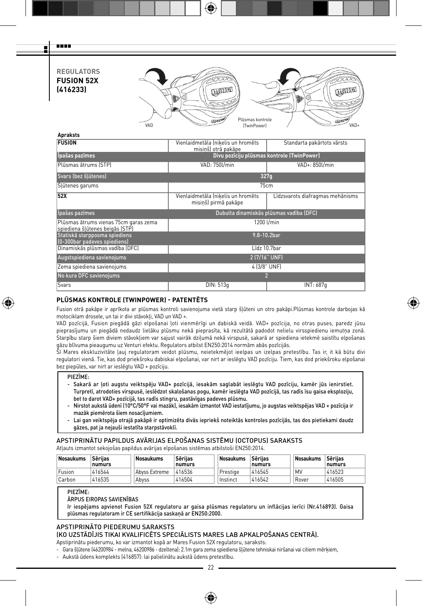**REGULATORS FUSION 52X (416233)**

man m Ŧ



| Vienlaidmetāla Ínikelis un hromēts<br>misinš) otrā pakāpe  | Standarta pakārtots vārsts                 |
|------------------------------------------------------------|--------------------------------------------|
|                                                            |                                            |
| VAD: 750l/min                                              | VAD+: 850l/min                             |
|                                                            | 327q                                       |
|                                                            | 75cm                                       |
| Vienlaidmetāla (nikelis un hromēts<br>misinš) pirmā pakāpe | Līdzsvarots diafragmas mehānisms           |
|                                                            | Dubulta dinamiskās plūsmas vadība (DFC)    |
|                                                            | 1200 l/min                                 |
|                                                            | $9.8 - 10.2bar$                            |
|                                                            | Līdz 10.7bar                               |
|                                                            | 2 (7/16" UNF)                              |
|                                                            | 4 (3/8" UNF)                               |
|                                                            | $\overline{2}$                             |
| DIN: 513q                                                  | INT: 687q                                  |
|                                                            | Divu pozīciju plūsmas kontrole (TwinPower) |

# **PLŪSMAS KONTROLE (TWINPOWER) - PATENTĒTS**

Fusion otrā pakāpe ir aprīkota ar plūsmas kontroli savienojuma vietā starp šļūteni un otro pakāpi.Plūsmas kontrole darbojas kā motociklam drosele, un tai ir divi stāvokļi, VAD un VAD +.

⊕

VAD pozīcijā, Fusion piegādā gāzi elpošanai ļoti vienmērīgi un dabiskā veidā. VAD+ pozīcija, no otras puses, paredz jūsu pieprasījumu un piegādā nedaudz lielāku plūsmu nekā pieprasīta, kā rezultātā padodot nelielu virsspiedienu iemutņa zonā. Starpību starp šiem diviem stāvokļiem var sajust vairāk dziļumā nekā virspusē, sakarā ar spiediena ietekmē saistītu elpošanas

gāzu blīvuma pieaugumu uz Venturi efektu. Regulators atbilst EN250:2014 normām abās pozīcijās.<br>Šī Mares ekskluzivitāte ļauj regulatoram veidot plūsmu, neietekmējot ieelpas un izelpas pretestību. Tas ir, it kā būtu divi regulatori vienā. Tie, kas dod priekšroku dabiskai elpošanai, var nirt ar ieslēgtu VAD pozīciju. Tiem, kas dod priekšroku elpošanai bez piepūles, var nirt ar ieslēgtu VAD + pozīciju.

PIEZĪME:

⊕

- Sakarā ar ļoti augstu veiktspēju VAD+ pozīcijā, iesakām saglabāt ieslēgtu VAD pozīciju, kamēr jūs ienirstiet. Turpretī, atrodoties virspusē, ieslēdzot skalošanas pogu, kamēr ieslēgta VAD pozīcijā, tas radīs īsu gaisa eksploziju, bet to darot VAD+ pozīcijā, tas radīs stingru, pastāvīgas padeves plūsmu.
- Nirstot aukstā ūdenī (10°C/50°F vai mazāk), iesakām izmantot VAD iestatījumu, jo augstas veiktspējas VAD + pozīcija ir mazāk piemērota šiem nosacījumiem.
- Lai gan veiktspēja otrajā pakāpē ir optimizēta divās iepriekš noteiktās kontroles pozīcijās, tas dos pietiekami daudz gāzes, pat ja nejauši iestatīta starpstāvoklī.

# APSTIPRINĀTU PAPILDUS AVĀRIJAS ELPOŠANAS SISTĒMU (OCTOPUS) SARAKSTS

Atļauts izmantot sekojošas papildus avārijas elpošanas sistēmas atbilstoši EN250:2014.

| Nosaukums | <b>Sērijas</b><br>numurs | Nosaukums     | <b>Sērijas</b><br>numurs | Nosaukums | <b>Sērijas</b><br>numurs | Nosaukums | Sērijas<br>numurs |
|-----------|--------------------------|---------------|--------------------------|-----------|--------------------------|-----------|-------------------|
| Fusion    | 416544                   | Abvss Extreme | 416536                   | Prestige  | 416545                   | M\        | 416523            |
| Carbon    | 416535                   | Abyss         | 416504                   | Instinct  | 416542                   | Rover     | 416505            |

# PIEZĪME:

ĀRPUS EIROPAS SAVIENĪBAS

Ir iespējams apvienot Fusion 52X regulatoru ar gaisa plūsmas regulatoru un inflācijas ierīci (Nr.416893). Gaisa plūsmas regulatoram ir CE sertifikācija saskaņā ar EN250:2000.

### APSTIPRINĀTO PIEDERUMU SARAKSTS (KO UZSTĀDĪJIS TIKAI KVALIFICĒTS SPECIĀLISTS MARES LAB APKALPOŠANAS CENTRĀ).

Apstiprinātu piederumu, ko var izmantot kopā ar Mares Fusion 52X regulatoru, saraksts:

- Gara šļūtene (46200984 - melna, 46200986 - dzeltena): 2.1m gara zema spiediena šļūtene tehniskai niršanai vai citiem mērķiem, - Aukstā ūdens komplekts (416857): lai palielinātu aukstā ūdens pretestību.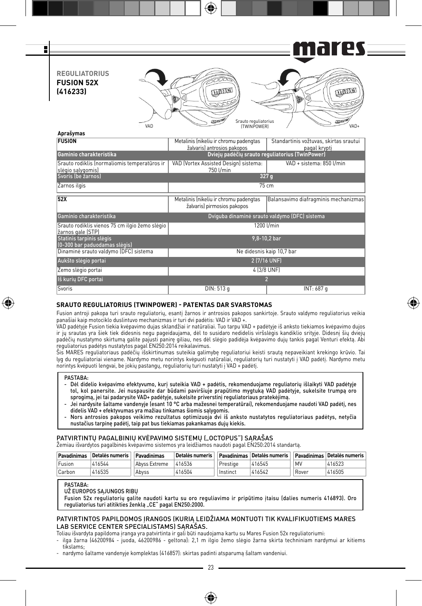es — F i 61 71 **REGULIATORIUS FUSION 52X QUALITY LUTHER (416233)** VAD **CONTROL** Srauto reguliatorius VAD **Aprašymas**

| <b>FUSION</b>                                                       | Metalinis (nikeliu ir chromu padengtas<br>žalvaris) antrosios pakopos | Standartinis vožtuvas, skirtas srautui<br>pagal krypti |  |  |  |
|---------------------------------------------------------------------|-----------------------------------------------------------------------|--------------------------------------------------------|--|--|--|
| Gaminio charakteristika                                             |                                                                       | Dvieju padėčiu srauto reguliatorius (TwinPower)        |  |  |  |
| Srauto rodiklis (normaliomis temperatūros ir<br>slėgio salygomis)   | VAD (Vortex Assisted Design) sistema:<br>750 l/min                    | VAD + sistema: 850 Umin                                |  |  |  |
| Svoris (be žarnos)                                                  |                                                                       | 327 g                                                  |  |  |  |
| Zarnos ilgis                                                        |                                                                       | 75 cm                                                  |  |  |  |
| <b>52X</b>                                                          | Metalinis (nikeliu ir chromu padengtas<br>žalvaris) pirmosios pakopos | Balansavimo diafragminis mechanizmas                   |  |  |  |
| Gaminio charakteristika                                             |                                                                       | Dviguba dinaminė srauto valdymo (DFC) sistema          |  |  |  |
| Srauto rodiklis vienos 75 cm ilgio žemo slėgio<br>žarnos gale (STP) |                                                                       | 1200 l/min                                             |  |  |  |
| Statinis tarpinis slėgis<br>(0-300 bar paduodamas slėgis)           |                                                                       | 9,8-10,2 bar                                           |  |  |  |
| Dinaminė srauto valdymo (DFC) sistema                               |                                                                       | Ne didesnis kaip 10,7 bar                              |  |  |  |
| Aukšto slėgio portai                                                |                                                                       | 2 (7/16 UNF)                                           |  |  |  |
| Zemo slėgio portai                                                  |                                                                       | 4 (3/8 UNF)                                            |  |  |  |
| Iš kurių DFC portai                                                 | 2                                                                     |                                                        |  |  |  |
| Svoris                                                              | DIN: 513 g                                                            | INT: 687 g                                             |  |  |  |

### **SRAUTO REGULIATORIUS (TWINPOWER) - PATENTAS DAR SVARSTOMAS**

Fusion antroji pakopa turi srauto reguliatorių, esantį žarnos ir antrosios pakopos sankirtoje. Srauto valdymo reguliatorius veikia panašiai kaip motociklo duslintuvo mechanizmas ir turi dvi padėtis: VAD ir VAD +.

⊕

VAD padėtyje Fusion tiekia kvėpavimo dujas sklandžiai ir natūraliai. Tuo tarpu VAD + padėtyje iš anksto tiekiamos kvėpavimo dujos ir jų srautas yra šiek tiek didesnis negu pageidaujama, dėl to susidaro nedidelis viršslėgis kandiklio srityje. Didesnį šių dviejų padėčių nustatymo skirtumą galite pajusti panirę giliau, nes dėl slėgio padidėja kvėpavimo dujų tankis pagal Venturi efektą. Abi reguliatorius padėtys nustatytos pagal EN250:2014 reikalavimus.

Šis MARES reguliatoriaus padėčių išskirtinumas suteikia galimybę reguliatoriui keisti srautą nepaveikiant krekingo krūvio. Tai lyg du reguliatoriai viename. Nardymo metu norintys kvėpuoti natūraliai, reguliatorių turi nustatyti į VAD padėtį. Nardymo metu norintys kvėpuoti lengvai, be jokių pastangų, reguliatorių turi nustatyti į VAD + padėtį.

### **PASTABA**

₩

- Dėl didelio kvėpavimo efektyvumo, kurį suteikia VAD + padėtis, rekomenduojame reguliatorių išlaikyti VAD padėtyje tol, kol panersite. Jei nuspausite dar būdami paviršiuje prapūtimo mygtuką VAD padėtyje, sukelsite trumpą oro sprogimą, jei tai padarysite VAD+ padėtyje, sukelsite priverstinį reguliatoriaus pratekėjimą.
- Jei nardysite šaltame vandenyje (esant 10 °C arba mažesnei temperatūrai), rekomenduojame naudoti VAD padėtį, nes didelis VAD + efektyvumas yra mažiau tinkamas šiomis sąlygomis.
- Nors antrosios pakopos veikimo rezultatus optimizuoja dvi iš anksto nustatytos reguliatoriaus padėtys, netyčia nustačius tarpinę padėtį, taip pat bus tiekiamas pakankamas dujų kiekis.

### PATVIRTINTU PAGALBINIU KVĖPAVIMO SISTEMU ("OCTOPUS") SARAŠAS

Žemiau išvardytos pagalbinės kvėpavimo sistemos yra leidžiamos naudoti pagal EN250:2014 standartą.

| Pavadinimas | Detalės numeris | Pavadinimas   | Detalės numeris |          | Pavadinimas Detalės numeris |       | Pavadinimas Detalės numeris |
|-------------|-----------------|---------------|-----------------|----------|-----------------------------|-------|-----------------------------|
| Fusion      | 416544          | Abyss Extreme | 416536          | Prestige | 416545                      | .MV   | 416523                      |
| Carbon      | 416535          | Abvss         | 416504          | Instinct | 416542                      | Rover | 416505                      |

### PASTABA:

UŽ EUROPOS SĄJUNGOS RIBŲ

Fusion 52x reguliatorių galite naudoti kartu su oro reguliavimo ir pripūtimo įtaisu (dalies numeris 416893). Oro reguliatorius turi atitikties ženklą "CE" pagal EN250:2000.

# PATVIRTINTOS PAPILDOMOS ĮRANGOS (KURIĄ LEIDŽIAMA MONTUOTI TIK KVALIFIKUOTIEMS MARES LAB SERVICE CENTER SPECIALISTAMS) SARAŠAS.

Toliau išvardyta papildoma įranga yra patvirtinta ir gali būti naudojama kartu su Mares Fusion 52x reguliatoriumi:

- ilga žarna (46200984 - juoda, 46200986 - geltona): 2,1 m ilgio žemo slėgio žarna skirta techniniam nardymui ar kitiems tikslams;

- nardymo šaltame vandenyje komplektas (416857): skirtas padinti atsparumą šaltam vandeniui.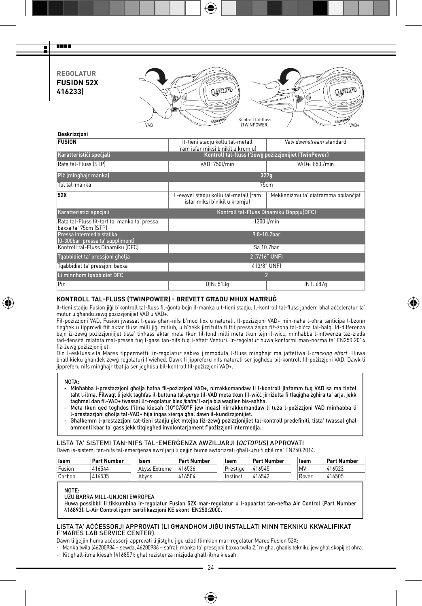**REGOLATUR FUSION 52X 416233)**

man m Ŧ



| Deskrizzjoni                                                         |                                                                        |                                                      |  |  |  |
|----------------------------------------------------------------------|------------------------------------------------------------------------|------------------------------------------------------|--|--|--|
| <b>FUSION</b>                                                        | It-tieni stadju kollu tal-metall<br>(ram isfar miksi b'nikil u kromiu) | Valy downstream standard                             |  |  |  |
| Karatteristići spečjali                                              |                                                                        | Kontroll tal-fluss f'żewġ pożizzjonijiet (TwinPower) |  |  |  |
| Rata tal-Fluss (STP)                                                 | VAD: 750l/min                                                          | VAD+: 850l/min                                       |  |  |  |
| Piż (minghajr manka)                                                 |                                                                        | 327q                                                 |  |  |  |
| Tul tal-manka                                                        |                                                                        | 75cm                                                 |  |  |  |
| 52X                                                                  | L-ewwel stadju kollu tal-metall (ram<br>isfar miksi b'nikil u kromju)  | Mekkaniżmu ta' diaframma bbilancjat                  |  |  |  |
| Karatteristići spečjali                                              |                                                                        | Kontroll tal-Fluss Dinamiku Doppju(DFC)              |  |  |  |
| Rata tal-Fluss fit-tarf ta' manka ta' pressa<br>baxxa ta' 75cm (STP) |                                                                        | 1200 l/min                                           |  |  |  |
| Pressa intermedia statika<br>(0-300bar pressa ta' suppliment)        | $9.8 - 10.2bar$                                                        |                                                      |  |  |  |
| Kontroll tal-Fluss Dinamiku (DFC)                                    |                                                                        | Sa 10.7bar                                           |  |  |  |
| Tgabbidiet ta' pressioni gholja                                      |                                                                        | 2 (7/16" UNF)                                        |  |  |  |
| Tgabbidiet ta' pressioni baxxa                                       |                                                                        | 4 (3/8" UNF)                                         |  |  |  |
| Li minnhom tgabbidiet DFC                                            |                                                                        | $\overline{2}$                                       |  |  |  |
| Piż                                                                  | DIN: 513q                                                              | INT: 687q                                            |  |  |  |

# **KONTROLL TAL-FLUSS (TWINPOWER) - BREVETT GĦADU MHUX MAĦRUĠ**

It-tieni stadju Fusion jiġi b'kontroll tal-fluss fil-ġonta bejn il-manka u t-tieni stadju. Il-kontroll tal-fluss jaħdem bħal aċċeleratur ta' mutur u għandu żewġ pożizzjonijiet VAD u VAD+.

⊕

Fil-pożizzjoni VAD, Fusion jwassal l-gass għan-nifs b'mod lixx u naturali. Il-pożizzjoni VAD+ min-naħa l-oħra tantiċipa l-bżonn tiegħek u tipprovdi ftit aktar fluss milli jiġi mitlub, u b'hekk jirriżulta fi ftit pressa żejda fiż-żona tal-biċċa tal-ħalq. Id-differenza bejn iż-żewġ pożizzjonijijet tista' tinħass aktar meta tkun fil-fond milli meta tkun lejn il-wiċċ, minħabba l-inflwenza taż-żieda tad-densità relatata mal-pressa fuq l-gass tan-nifs fuq l-effett Venturi. Ir-regolatur huwa konformi man-norma ta' EN250:2014 fiż-żewġ pożizzjonijiet.

Din l-esklussività Mares tippermetti lir-regolatur sabiex jimmodula l-fluss mingħajr ma jaffettwa l-*cracking effort*. Huwa bħallikieku għandek żewġ regolaturi f'wieħed. Dawk li jippreferu nifs naturali ser jogħdsu bil-kontroll fil-pożizzjoni VAD. Dawk li<br>jippreferu nifs mingħajr tbatija ser jogħdsu bil-kontroll fil-pożizzjoni VAD+.

#### NOTA:

↔

- Minhabba l-prestazzjoni gholja hafna fil-pożizzjoni VAD+, nirrakkomandaw li l-kontroll jinżamm fuq VAD sa ma tinżel<br>taht l-ilma. Filwaqt li jekk taghfas il-buttuna tal-*purge* fil-VAD meta tkun fil-wićć jirriżulta fi tf tagħmel dan fil-VAD+ twassal lir-regolatur biex *jbattal* l-arja bla waqfien bis-saħħa.
- Meta tkun qed togħdos f'ilma kiesaħ (10°C/50°F jew inqas) nirrakkomandaw li tuża l-pożizzjoni VAD minħabba li l-prestazzjoni għolja tal-VAD+ hija inqas xierqa għal dawn il-kundizzjonijiet.
- Għalkemm l-prestazzjoni tat-tieni stadju ġiet mtejba fiż-żewġ pożizzjonijiet tal-kontroll predefiniti, tista' twassal għal ammonti kbar ta' gass jekk titqiegħed involontarjament f'pożizzjoni intermedja.

### LISTA TA' SISTEMI TAN-NIFS TAL-EMERĠENZA AWZILJARJI (*OCTOPUS*) APPROVATI

Dawn is-sistemi tan-nifs tal-emerġenza awziljarji li ġejjin huma awtorizzati għall-użu fi qbil ma' EN250:2014.

| <b>Isem</b> | <b>Part Number</b> | <b>Isem</b>   | <b>Part Number</b> | <b>Isem</b> | Part Number | <b>Isem</b> | <b>Part Number</b> |
|-------------|--------------------|---------------|--------------------|-------------|-------------|-------------|--------------------|
| Fusion      | 416544             | Abyss Extreme | 416536             | Prestige    | 416545      | MV          | 416523             |
| Carbon      | 416535             | Abvss         | 416504             | Instinct    | 416542      | Rover       | 416505             |

NOTE:

UŻU BARRA MILL-UNJONI EWROPEA

Huwa possibbli li tikkumbina ir-regolatur Fusion 52X mar-regolatur u l-appartat tan-nefħa Air Control (Part Number 416893). L-Air Control iġorr ċertifikazzjoni KE skont EN250:2000.

### LISTA TA' AĊĊESSORJI APPROVATI (LI GĦANDHOM JIĠU INSTALLATI MINN TEKNIKU KKWALIFIKAT F'MARES LAB SERVICE CENTER).

Dawn li ġejjin huma aċċessorji approvati li jistgħu jiġu użati flimkien mar-regolatur Mares Fusion 52X:

- Manka twila (46200984 – sewda, 46200986 – safra): manka ta' pressjoni baxxa twila 2.1m għal għadis tekniku jew għal skopijiet oħra. - Kit għall-ilma kiesaħ (416857): għal reżistenza miżjuda għall-ilma kiesaħ.

24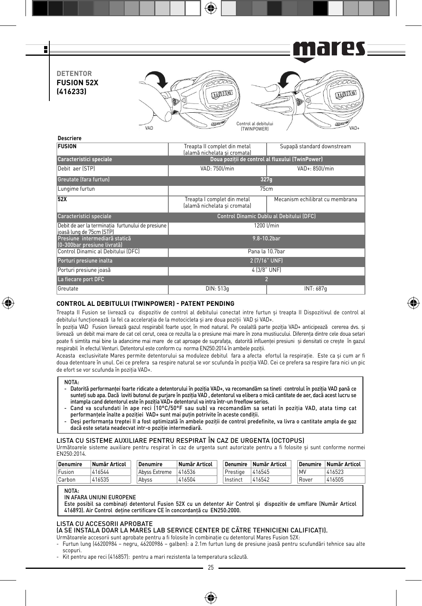

⊕

| Greutate (fara furtun)                                                        | 327q                                                        |                                 |  |  |  |  |  |
|-------------------------------------------------------------------------------|-------------------------------------------------------------|---------------------------------|--|--|--|--|--|
| Lungime furtun                                                                | 75cm                                                        |                                 |  |  |  |  |  |
| 52X                                                                           | Treapta I complet din metal<br>(alamă nichelata si cromata) | Mecanism echilibrat cu membrana |  |  |  |  |  |
| Caracteristici speciale                                                       | Control Dinamic Dublu al Debitului (DFC)                    |                                 |  |  |  |  |  |
| Debit de aer la terminatia furtunului de presiune<br>joasă lung de 75cm (STP) | 1200 l/min                                                  |                                 |  |  |  |  |  |
| Presiune intermediară statică<br>(0-300bar presiune livrată)                  | 9.8-10.2bar                                                 |                                 |  |  |  |  |  |
| Control Dinamic al Debitului (DFC)                                            | Pana la 10.7bar                                             |                                 |  |  |  |  |  |
| Porturi presiune inalta                                                       | 2 (7/16" UNF)                                               |                                 |  |  |  |  |  |
| Porturi presiune joasă                                                        | 4 (3/8" UNF)                                                |                                 |  |  |  |  |  |
| La fiecare port DFC                                                           |                                                             | $\overline{2}$                  |  |  |  |  |  |
| Greutate                                                                      | DIN: 513q                                                   | INT: 687q                       |  |  |  |  |  |

# **CONTROL AL DEBITULUI (TWINPOWER) - PATENT PENDING**

Treapta II Fusion se livrează cu dispozitiv de control al debitului conectat intre furtun şi treapta II Dispozitivul de control al debitului functionează la fel ca acceleratia de la motocicleta și are doua poziții VAD și VAD+.

⊕

În pozitia VAD Fusion livrează gazul respirabil foarte usor, în mod natural. Pe cealaltă parte pozitia VAD+ anticipează cererea dvs. și livrează un debit mai mare de cat cel cerut, ceea ce rezulta la o presiune mai mare în zona mustiucului. Diferenţa dintre cele doua setari poate fi simtita mai bine la adancime mai mare de cat aproape de suprafața, datorită influenței presiuni și densitati ce crește în gazul respirabil în efectul Venturi. Detentorul este conform cu norma EN250:2014 în ambele poziţii.

Aceasta exclusivitate Mares permite detentorului sa moduleze debitul fara a afecta efortul la respiratie. Este ca si cum ar fi doua detentoare în unul. Cei ce prefera sa respire natural se vor scufunda în pozitia VAD. Cei ce prefera sa respire fara nici un pic de efort se vor scufunda în poziția VAD+.

#### NOTA-

⊕

- Datorită performanței foarte ridicate a detentorului în poziția VAD+, va recomandăm sa tineti controlul în poziția VAD pană ce sunteți sub apa. Dacă loviti butonul de purjare în poziția VAD, detentorul va elibera o mică cantitate de aer, dacă acest lucru se intampla cand detentorul este în poziția VAD+ detentorul va intra într-un freeflow serios.
- Cand va scufundati în ape reci (10°C/50°F sau sub) va recomandăm sa setati în poziţia VAD, atata timp cat performanțele înalte a poziției VAD+ sunt mai puțin potrivite în aceste condiții.
- Deși performanța treptei II a fost optimizată în ambele poziții de control predefinite, va livra o cantitate ampla de gaz dacă este setata neadecvat intr-o poziție intermediară.

#### LISTA CU SISTEME AUXILIARE PENTRU RESPIRAT ÎN CAZ DE URGENTA (OCTOPUS)

Următoarele sisteme auxiliare pentru respirat în caz de urgenta sunt autorizate pentru a fi folosite şi sunt conforme normei EN250:2014.

| <b>Denumire</b> | Număr Articol | Denumire      | Număr Articol | <b>Denumire</b> | Număr Articol | <b>Denumire</b> | Număr Articol |
|-----------------|---------------|---------------|---------------|-----------------|---------------|-----------------|---------------|
| ' Fusion        | 416544        | Abyss Extreme | 416536        | Prestige        | 416545        | MV              | 416523        |
| Carbon          | 416535        | Abvss         | 416504        | <b>Instinct</b> | 416542        | Rover           | 416505        |

#### NOTA-

IN AFARA UNIUNI EUROPENE

Este posibil sa combinaţi detentorul Fusion 52X cu un detentor Air Control şi dispozitiv de umflare (Număr Articol 416893). Air Control deţine certificare CE în concordanţă cu EN250:2000.

### LISTA CU ACCESORII APROBATE

# (A SE INSTALA DOAR LA MARES LAB SERVICE CENTER DE CĂTRE TEHNICIENI CALIFICAŢI).

Următoarele accesorii sunt aprobate pentru a fi folosite în combinatie cu detentorul Mares Fusion 52X:

- Furtun lung (46200984 negru, 46200986 galben): a 2.1m furtun lung de presiune joasă pentru scufundări tehnice sau alte scopuri.
- Kit pentru ape reci (416857): pentru a mari rezistenta la temperatura scăzută.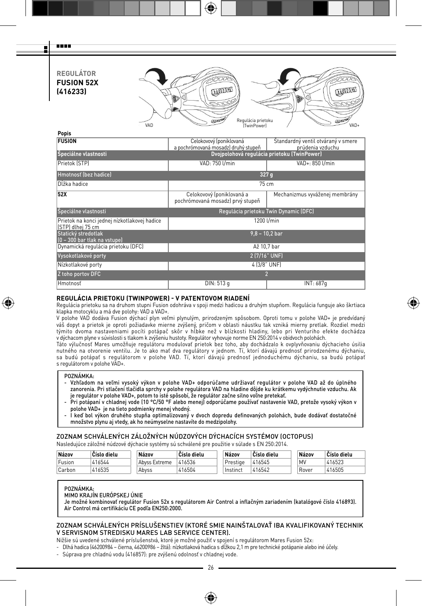**REGULÁTOR FUSION 52X (416233)**

man a E



| Popis                                                             |                                                               |                                             |  |  |  |  |  |
|-------------------------------------------------------------------|---------------------------------------------------------------|---------------------------------------------|--|--|--|--|--|
| <b>FUSION</b>                                                     | Celokovový (poniklovaná                                       | Standardný ventil otváraný v smere          |  |  |  |  |  |
|                                                                   | a pochrómovaná mosadz) druhý stupeň                           | prúdenia vzduchu                            |  |  |  |  |  |
| Špeciálne vlastnosti                                              |                                                               | Dvojpolohová regulácia prietoku (TwinPower) |  |  |  |  |  |
| Prietok (STP)                                                     | VAD: 750 U/min                                                | VAD+: 850 l/min                             |  |  |  |  |  |
| Hmotnosť (bez hadice)                                             | 327q                                                          |                                             |  |  |  |  |  |
| Dĺžka hadice                                                      | 75 cm                                                         |                                             |  |  |  |  |  |
| 52X                                                               | Celokovový (poniklovaná a<br>pochrómovaná mosadz) prvý stupeň | Mechanizmus vyváženej membrány              |  |  |  |  |  |
| Špeciálne vlastnosti                                              | Regulácia prietoku Twin Dynamic (DFC)                         |                                             |  |  |  |  |  |
| Prietok na konci jednej nízkotlakovej hadice<br>ISTPI dlhei 75 cm | 1200 l/min                                                    |                                             |  |  |  |  |  |
| Statický stredotlak<br>(0 - 300 bar tlak na vstupe)               | $9,8 - 10,2$ bar                                              |                                             |  |  |  |  |  |
| Dynamická regulácia prietoku (DFC)                                | Až 10,7 bar                                                   |                                             |  |  |  |  |  |
| Vysokotlakové porty                                               | 2 (7/16" UNF)                                                 |                                             |  |  |  |  |  |
| Nízkotlakové porty                                                | 4 (3/8" UNF)                                                  |                                             |  |  |  |  |  |
| Z toho portov DFC                                                 |                                                               |                                             |  |  |  |  |  |
| Hmotnosť                                                          | DIN: 513 g                                                    | INT: 687q                                   |  |  |  |  |  |

### **REGULÁCIA PRIETOKU (TWINPOWER) - V PATENTOVOM RIADENÍ**

Regulácia prietoku sa na druhom stupni Fusion odohráva v spoji medzi hadicou a druhým stupňom. Regulácia funguje ako škrtiaca klapka motocyklu a má dve polohy: VAD a VAD+.

⊕

V polohe VAD dodáva Fusion dýchací plyn veľmi plynulým, prirodzeným spôsobom. Oproti tomu v polohe VAD+ je predvídaný váš dopyt a prietok je oproti požiadavke mierne zvýšený, pričom v oblasti náustku tak vzniká mierny pretlak. Rozdiel medzi týmito dvoma nastaveniami pocíti potápač skôr v hĺbke než v blízkosti hladiny, lebo pri Venturiho efekte dochádza v dýchacom plyne v súvislosti s tlakom k zvýšeniu hustoty. Regulátor vyhovuje norme EN 250:2014 v obidvoch polohách.

Táto výlučnosť Mares umožňuje regulátoru modulovať prietok bez toho, aby dochádzalo k ovplyvňovaniu dýchacieho úsilia nutného na otvorenie ventilu. Je to ako mať dva regulátory v jednom. Ti, ktori dávajú prednosť prirodzenému dýchaniu,<br>sa budú potápať s regulátorom v polohe VAD. Tí, ktorí dávajú prednosť jednoduchému dýchaniu, sa budú pot s regulátorom v polohe VAD+.

### POZNÁMKA:

₩

- Vzhľadom na veľmi vysoký výkon v polohe VAD+ odporúčame udržiavať regulátor v polohe VAD až do úplného zanorenia. Pri stlačení tlačidla sprchy v polohe regulátora VAD na hladine dôjde ku krátkemu vydýchnutie vzduchu. Ak je regulátor v polohe VAD+, potom to isté spôsobí, že regulátor začne silno voľne pretekať.
- Pri potápaní v chladnej vode (10 °C/50 °F alebo menej) odporúčame používať nastavenie VAD, pretože vysoký výkon v polohe VAD+ je na tieto podmienky menej vhodný.
- I keď bol výkon druhého stupňa optimalizovaný v dvoch dopredu definovaných polohách, bude dodávať dostatočné množstvo plynu aj vtedy, ak ho neúmyselne nastavíte do medzipolohy.

### ZOZNAM SCHVÁLENÝCH ZÁLOŽNÝCH NÚDZOVÝCH DÝCHACÍCH SYSTÉMOV (OCTOPUS)

Nasledujúce záložné núdzové dýchacie systémy sú schválené pre použitie v súlade s EN 250:2014.

| Názov  | Císlo dielu | Názov         | <b>Císlo dielu</b> | Názov      | Císlo dielu | Názov | Císlo dielu |
|--------|-------------|---------------|--------------------|------------|-------------|-------|-------------|
| Fusion | 416544      | Abyss Extreme | 416536             | Prestige   | 416545      | MV    | 116523      |
| Carbon | 416535      | Abvss         | 416504             | . Instinct | 416542      | Rover | 416505      |

### POZNÁMKA:

MIMO KRAJÍN EURÓPSKEJ ÚNIE

Je možné kombinovať regulátor Fusion 52x s regulátorom Air Control a inflačným zariadením (katalógové číslo 416893). Air Control má certifikáciu CE podľa EN250:2000.

### ZOZNAM SCHVÁLENÝCH PRÍSLUŠENSTIEV (KTORÉ SMIE NAINŠTALOVAŤ IBA KVALIFIKOVANÝ TECHNIK V SERVISNOM STREDISKU MARES LAB SERVICE CENTER).

Nižšie sú uvedené schválené príslušenstvá, ktoré je možné použiť v spojení s regulátorom Mares Fusion 52x:

- Dlhá hadica (46200984 čierna, 46200986 žltá): nízkotlaková hadica s dĺžkou 2,1 m pre technické potápanie alebo iné účely.
- Súprava pre chladnú vodu (416857): pre zvýšenú odolnosť v chladnej vode.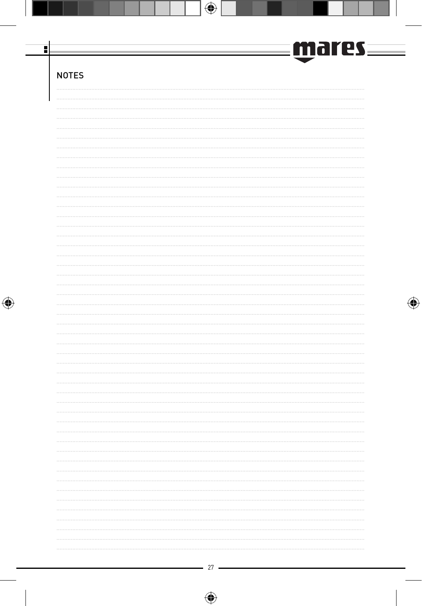<u>mares</u> 과 **NOTES**  $\bigoplus$  $27 -$ 

 $\bigoplus$ 

 $\bigoplus$ 

 $\bigoplus$